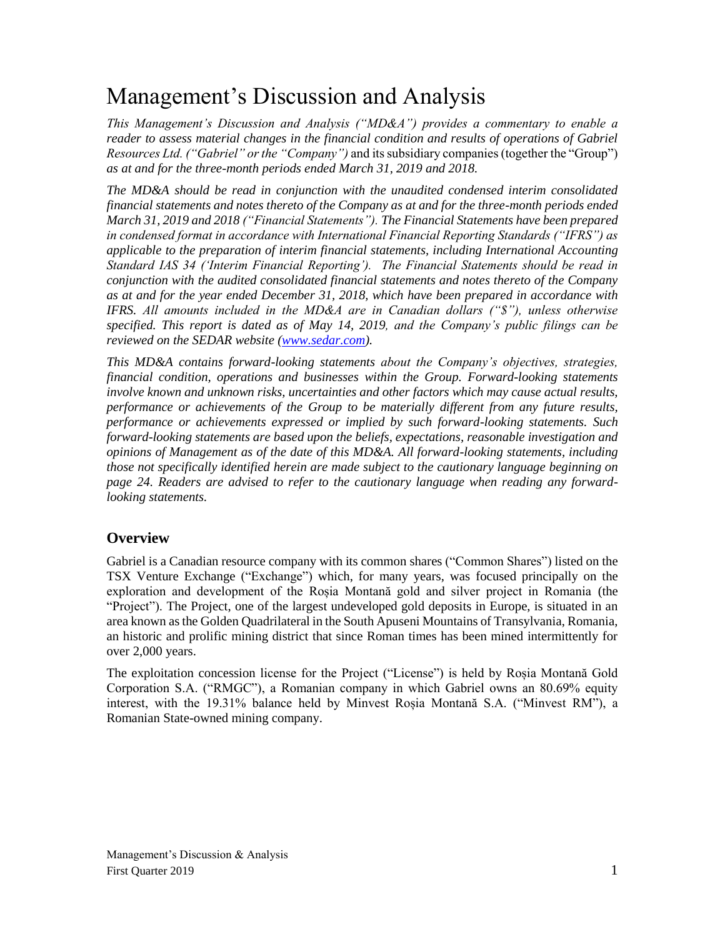# Management's Discussion and Analysis

*This Management's Discussion and Analysis ("MD&A") provides a commentary to enable a reader to assess material changes in the financial condition and results of operations of Gabriel Resources Ltd. ("Gabriel" or the "Company")* and its subsidiary companies (together the "Group") *as at and for the three-month periods ended March 31, 2019 and 2018.*

*The MD&A should be read in conjunction with the unaudited condensed interim consolidated financial statements and notes thereto of the Company as at and for the three-month periods ended March 31, 2019 and 2018 ("Financial Statements"). The Financial Statements have been prepared in condensed format in accordance with International Financial Reporting Standards ("IFRS") as applicable to the preparation of interim financial statements, including International Accounting Standard IAS 34 ('Interim Financial Reporting'). The Financial Statements should be read in conjunction with the audited consolidated financial statements and notes thereto of the Company as at and for the year ended December 31, 2018, which have been prepared in accordance with IFRS. All amounts included in the MD&A are in Canadian dollars ("\$"), unless otherwise specified. This report is dated as of May 14, 2019, and the Company's public filings can be reviewed on the SEDAR website [\(www.sedar.com\)](http://www.sedar.com/).*

*This MD&A contains forward-looking statements about the Company's objectives, strategies, financial condition, operations and businesses within the Group. Forward-looking statements involve known and unknown risks, uncertainties and other factors which may cause actual results, performance or achievements of the Group to be materially different from any future results, performance or achievements expressed or implied by such forward-looking statements. Such forward-looking statements are based upon the beliefs, expectations, reasonable investigation and opinions of Management as of the date of this MD&A. All forward-looking statements, including those not specifically identified herein are made subject to the cautionary language beginning on page 24. Readers are advised to refer to the cautionary language when reading any forwardlooking statements.*

# **Overview**

Gabriel is a Canadian resource company with its common shares ("Common Shares") listed on the TSX Venture Exchange ("Exchange") which, for many years, was focused principally on the exploration and development of the Roșia Montană gold and silver project in Romania (the "Project"). The Project, one of the largest undeveloped gold deposits in Europe, is situated in an area known as the Golden Quadrilateral in the South Apuseni Mountains of Transylvania, Romania, an historic and prolific mining district that since Roman times has been mined intermittently for over 2,000 years.

The exploitation concession license for the Project ("License") is held by Roșia Montană Gold Corporation S.A. ("RMGC"), a Romanian company in which Gabriel owns an 80.69% equity interest, with the 19.31% balance held by Minvest Roșia Montană S.A. ("Minvest RM"), a Romanian State-owned mining company.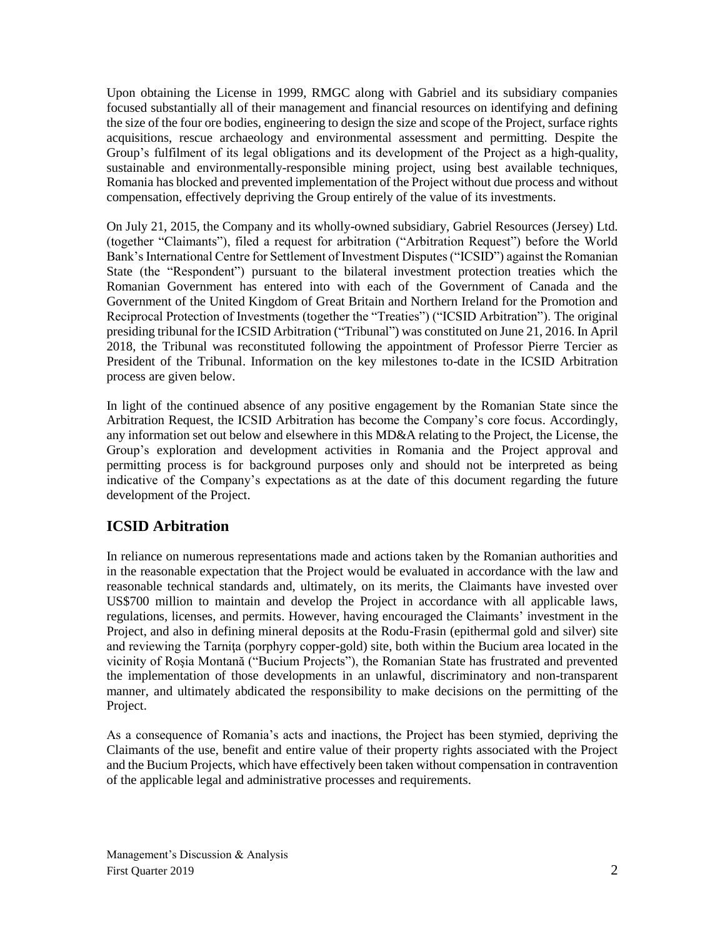Upon obtaining the License in 1999, RMGC along with Gabriel and its subsidiary companies focused substantially all of their management and financial resources on identifying and defining the size of the four ore bodies, engineering to design the size and scope of the Project, surface rights acquisitions, rescue archaeology and environmental assessment and permitting. Despite the Group's fulfilment of its legal obligations and its development of the Project as a high-quality, sustainable and environmentally-responsible mining project, using best available techniques, Romania has blocked and prevented implementation of the Project without due process and without compensation, effectively depriving the Group entirely of the value of its investments.

On July 21, 2015, the Company and its wholly-owned subsidiary, Gabriel Resources (Jersey) Ltd. (together "Claimants"), filed a request for arbitration ("Arbitration Request") before the World Bank's International Centre for Settlement of Investment Disputes ("ICSID") against the Romanian State (the "Respondent") pursuant to the bilateral investment protection treaties which the Romanian Government has entered into with each of the Government of Canada and the Government of the United Kingdom of Great Britain and Northern Ireland for the Promotion and Reciprocal Protection of Investments (together the "Treaties") ("ICSID Arbitration"). The original presiding tribunal for the ICSID Arbitration ("Tribunal") was constituted on June 21, 2016. In April 2018, the Tribunal was reconstituted following the appointment of Professor Pierre Tercier as President of the Tribunal. Information on the key milestones to-date in the ICSID Arbitration process are given below.

In light of the continued absence of any positive engagement by the Romanian State since the Arbitration Request, the ICSID Arbitration has become the Company's core focus. Accordingly, any information set out below and elsewhere in this MD&A relating to the Project, the License, the Group's exploration and development activities in Romania and the Project approval and permitting process is for background purposes only and should not be interpreted as being indicative of the Company's expectations as at the date of this document regarding the future development of the Project.

# **ICSID Arbitration**

In reliance on numerous representations made and actions taken by the Romanian authorities and in the reasonable expectation that the Project would be evaluated in accordance with the law and reasonable technical standards and, ultimately, on its merits, the Claimants have invested over US\$700 million to maintain and develop the Project in accordance with all applicable laws, regulations, licenses, and permits. However, having encouraged the Claimants' investment in the Project, and also in defining mineral deposits at the Rodu-Frasin (epithermal gold and silver) site and reviewing the Tarnita (porphyry copper-gold) site, both within the Bucium area located in the vicinity of Roşia Montană ("Bucium Projects"), the Romanian State has frustrated and prevented the implementation of those developments in an unlawful, discriminatory and non-transparent manner, and ultimately abdicated the responsibility to make decisions on the permitting of the Project.

As a consequence of Romania's acts and inactions, the Project has been stymied, depriving the Claimants of the use, benefit and entire value of their property rights associated with the Project and the Bucium Projects, which have effectively been taken without compensation in contravention of the applicable legal and administrative processes and requirements.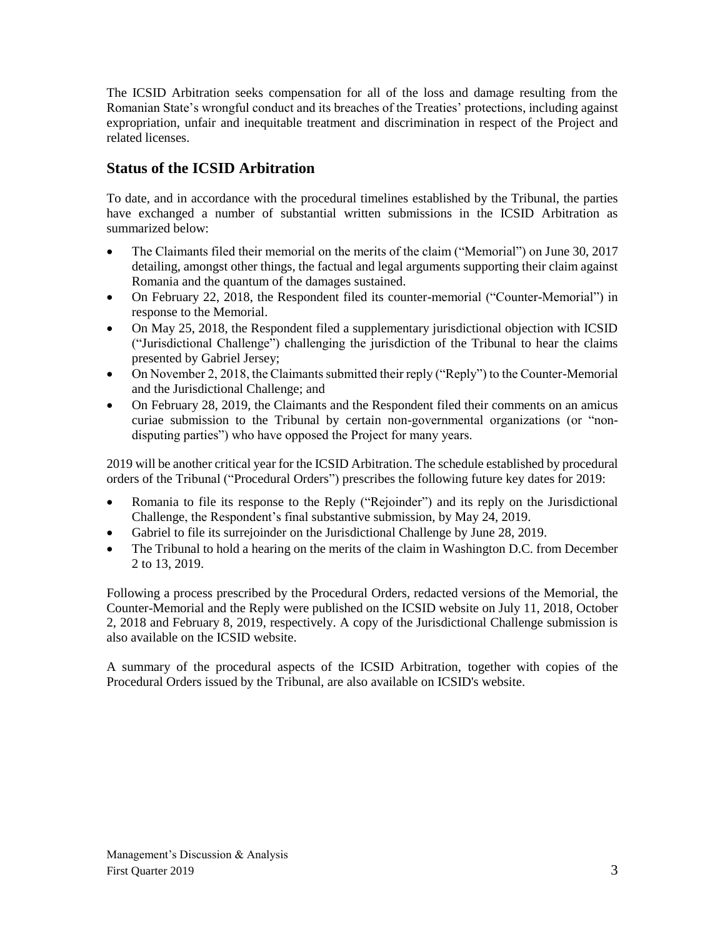The ICSID Arbitration seeks compensation for all of the loss and damage resulting from the Romanian State's wrongful conduct and its breaches of the Treaties' protections, including against expropriation, unfair and inequitable treatment and discrimination in respect of the Project and related licenses.

# **Status of the ICSID Arbitration**

To date, and in accordance with the procedural timelines established by the Tribunal, the parties have exchanged a number of substantial written submissions in the ICSID Arbitration as summarized below:

- The Claimants filed their memorial on the merits of the claim ("Memorial") on June 30, 2017 detailing, amongst other things, the factual and legal arguments supporting their claim against Romania and the quantum of the damages sustained.
- On February 22, 2018, the Respondent filed its counter-memorial ("Counter-Memorial") in response to the Memorial.
- On May 25, 2018, the Respondent filed a supplementary jurisdictional objection with ICSID ("Jurisdictional Challenge") challenging the jurisdiction of the Tribunal to hear the claims presented by Gabriel Jersey;
- On November 2, 2018, the Claimants submitted their reply ("Reply") to the Counter-Memorial and the Jurisdictional Challenge; and
- On February 28, 2019, the Claimants and the Respondent filed their comments on an amicus curiae submission to the Tribunal by certain non-governmental organizations (or "nondisputing parties") who have opposed the Project for many years.

2019 will be another critical year for the ICSID Arbitration. The schedule established by procedural orders of the Tribunal ("Procedural Orders") prescribes the following future key dates for 2019:

- Romania to file its response to the Reply ("Rejoinder") and its reply on the Jurisdictional Challenge, the Respondent's final substantive submission, by May 24, 2019.
- Gabriel to file its surrejoinder on the Jurisdictional Challenge by June 28, 2019.
- The Tribunal to hold a hearing on the merits of the claim in Washington D.C. from December 2 to 13, 2019.

Following a process prescribed by the Procedural Orders, redacted versions of the Memorial, the Counter-Memorial and the Reply were published on the ICSID website on July 11, 2018, October 2, 2018 and February 8, 2019, respectively. A copy of the Jurisdictional Challenge submission is also available on the ICSID website.

A summary of the procedural aspects of the ICSID Arbitration, together with copies of the Procedural Orders issued by the Tribunal, are also available on ICSID's website.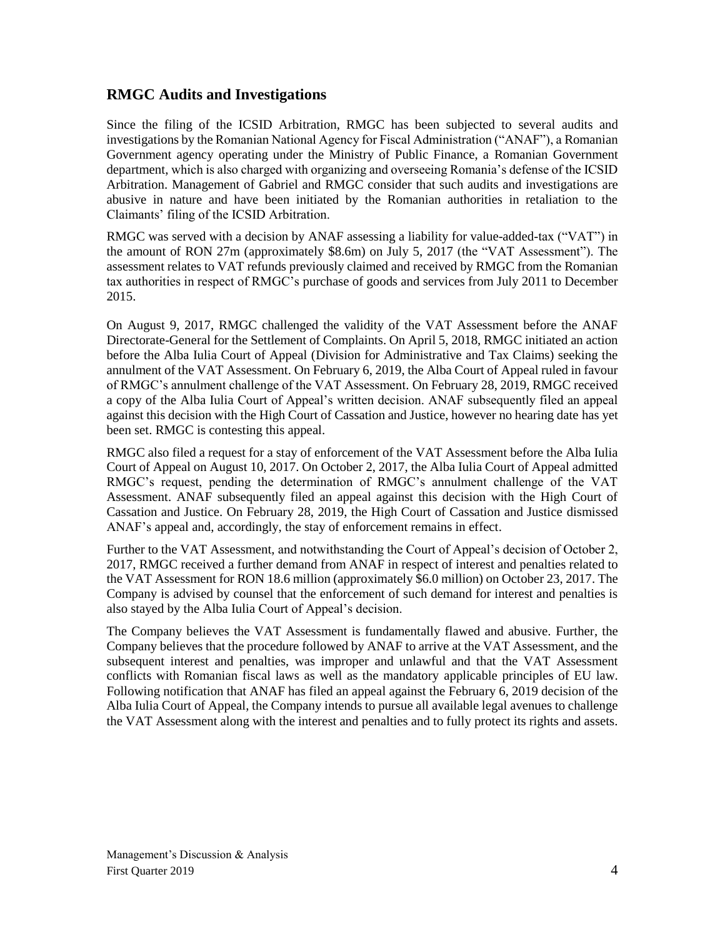### **RMGC Audits and Investigations**

Since the filing of the ICSID Arbitration, RMGC has been subjected to several audits and investigations by the Romanian National Agency for Fiscal Administration ("ANAF"), a Romanian Government agency operating under the Ministry of Public Finance, a Romanian Government department, which is also charged with organizing and overseeing Romania's defense of the ICSID Arbitration. Management of Gabriel and RMGC consider that such audits and investigations are abusive in nature and have been initiated by the Romanian authorities in retaliation to the Claimants' filing of the ICSID Arbitration.

RMGC was served with a decision by ANAF assessing a liability for value-added-tax ("VAT") in the amount of RON 27m (approximately \$8.6m) on July 5, 2017 (the "VAT Assessment"). The assessment relates to VAT refunds previously claimed and received by RMGC from the Romanian tax authorities in respect of RMGC's purchase of goods and services from July 2011 to December 2015.

On August 9, 2017, RMGC challenged the validity of the VAT Assessment before the ANAF Directorate-General for the Settlement of Complaints. On April 5, 2018, RMGC initiated an action before the Alba Iulia Court of Appeal (Division for Administrative and Tax Claims) seeking the annulment of the VAT Assessment. On February 6, 2019, the Alba Court of Appeal ruled in favour of RMGC's annulment challenge of the VAT Assessment. On February 28, 2019, RMGC received a copy of the Alba Iulia Court of Appeal's written decision. ANAF subsequently filed an appeal against this decision with the High Court of Cassation and Justice, however no hearing date has yet been set. RMGC is contesting this appeal.

RMGC also filed a request for a stay of enforcement of the VAT Assessment before the Alba Iulia Court of Appeal on August 10, 2017. On October 2, 2017, the Alba Iulia Court of Appeal admitted RMGC's request, pending the determination of RMGC's annulment challenge of the VAT Assessment. ANAF subsequently filed an appeal against this decision with the High Court of Cassation and Justice. On February 28, 2019, the High Court of Cassation and Justice dismissed ANAF's appeal and, accordingly, the stay of enforcement remains in effect.

Further to the VAT Assessment, and notwithstanding the Court of Appeal's decision of October 2, 2017, RMGC received a further demand from ANAF in respect of interest and penalties related to the VAT Assessment for RON 18.6 million (approximately \$6.0 million) on October 23, 2017. The Company is advised by counsel that the enforcement of such demand for interest and penalties is also stayed by the Alba Iulia Court of Appeal's decision.

The Company believes the VAT Assessment is fundamentally flawed and abusive. Further, the Company believes that the procedure followed by ANAF to arrive at the VAT Assessment, and the subsequent interest and penalties, was improper and unlawful and that the VAT Assessment conflicts with Romanian fiscal laws as well as the mandatory applicable principles of EU law. Following notification that ANAF has filed an appeal against the February 6, 2019 decision of the Alba Iulia Court of Appeal, the Company intends to pursue all available legal avenues to challenge the VAT Assessment along with the interest and penalties and to fully protect its rights and assets.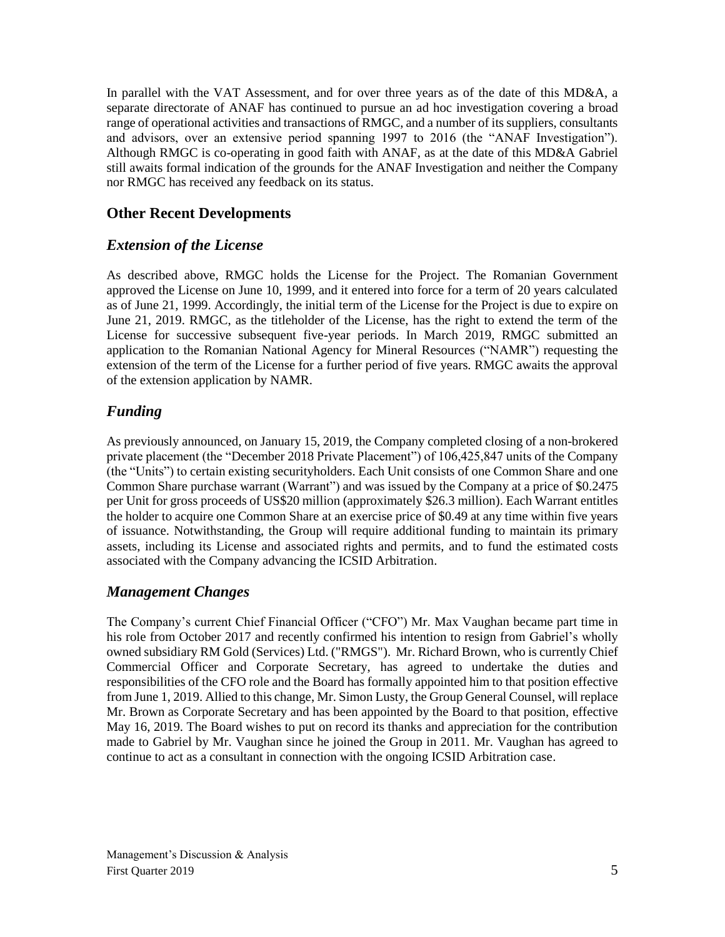In parallel with the VAT Assessment, and for over three years as of the date of this MD&A, a separate directorate of ANAF has continued to pursue an ad hoc investigation covering a broad range of operational activities and transactions of RMGC, and a number of its suppliers, consultants and advisors, over an extensive period spanning 1997 to 2016 (the "ANAF Investigation"). Although RMGC is co-operating in good faith with ANAF, as at the date of this MD&A Gabriel still awaits formal indication of the grounds for the ANAF Investigation and neither the Company nor RMGC has received any feedback on its status.

### **Other Recent Developments**

### *Extension of the License*

As described above, RMGC holds the License for the Project. The Romanian Government approved the License on June 10, 1999, and it entered into force for a term of 20 years calculated as of June 21, 1999. Accordingly, the initial term of the License for the Project is due to expire on June 21, 2019. RMGC, as the titleholder of the License, has the right to extend the term of the License for successive subsequent five-year periods. In March 2019, RMGC submitted an application to the Romanian National Agency for Mineral Resources ("NAMR") requesting the extension of the term of the License for a further period of five years. RMGC awaits the approval of the extension application by NAMR.

# *Funding*

As previously announced, on January 15, 2019, the Company completed closing of a non-brokered private placement (the "December 2018 Private Placement") of 106,425,847 units of the Company (the "Units") to certain existing securityholders. Each Unit consists of one Common Share and one Common Share purchase warrant (Warrant") and was issued by the Company at a price of \$0.2475 per Unit for gross proceeds of US\$20 million (approximately \$26.3 million). Each Warrant entitles the holder to acquire one Common Share at an exercise price of \$0.49 at any time within five years of issuance. Notwithstanding, the Group will require additional funding to maintain its primary assets, including its License and associated rights and permits, and to fund the estimated costs associated with the Company advancing the ICSID Arbitration.

### *Management Changes*

The Company's current Chief Financial Officer ("CFO") Mr. Max Vaughan became part time in his role from October 2017 and recently confirmed his intention to resign from Gabriel's wholly owned subsidiary RM Gold (Services) Ltd. ("RMGS"). Mr. Richard Brown, who is currently Chief Commercial Officer and Corporate Secretary, has agreed to undertake the duties and responsibilities of the CFO role and the Board has formally appointed him to that position effective from June 1, 2019. Allied to this change, Mr. Simon Lusty, the Group General Counsel, will replace Mr. Brown as Corporate Secretary and has been appointed by the Board to that position, effective May 16, 2019. The Board wishes to put on record its thanks and appreciation for the contribution made to Gabriel by Mr. Vaughan since he joined the Group in 2011. Mr. Vaughan has agreed to continue to act as a consultant in connection with the ongoing ICSID Arbitration case.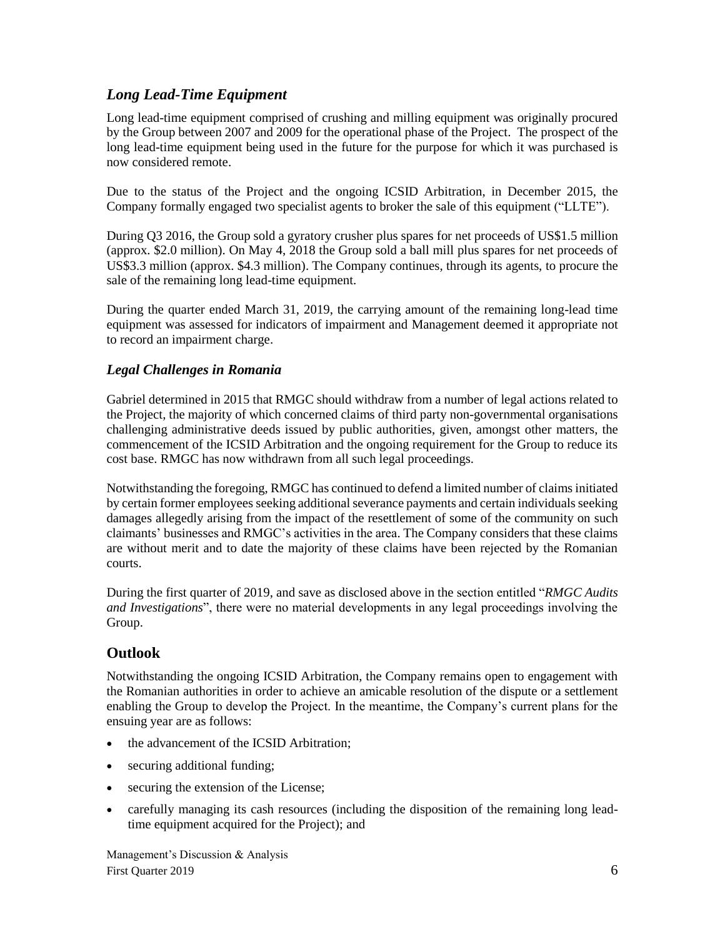# *Long Lead-Time Equipment*

Long lead-time equipment comprised of crushing and milling equipment was originally procured by the Group between 2007 and 2009 for the operational phase of the Project. The prospect of the long lead-time equipment being used in the future for the purpose for which it was purchased is now considered remote.

Due to the status of the Project and the ongoing ICSID Arbitration, in December 2015, the Company formally engaged two specialist agents to broker the sale of this equipment ("LLTE").

During Q3 2016, the Group sold a gyratory crusher plus spares for net proceeds of US\$1.5 million (approx. \$2.0 million). On May 4, 2018 the Group sold a ball mill plus spares for net proceeds of US\$3.3 million (approx. \$4.3 million). The Company continues, through its agents, to procure the sale of the remaining long lead-time equipment.

During the quarter ended March 31, 2019, the carrying amount of the remaining long-lead time equipment was assessed for indicators of impairment and Management deemed it appropriate not to record an impairment charge.

### *Legal Challenges in Romania*

Gabriel determined in 2015 that RMGC should withdraw from a number of legal actions related to the Project, the majority of which concerned claims of third party non-governmental organisations challenging administrative deeds issued by public authorities, given, amongst other matters, the commencement of the ICSID Arbitration and the ongoing requirement for the Group to reduce its cost base. RMGC has now withdrawn from all such legal proceedings.

Notwithstanding the foregoing, RMGC has continued to defend a limited number of claims initiated by certain former employees seeking additional severance payments and certain individuals seeking damages allegedly arising from the impact of the resettlement of some of the community on such claimants' businesses and RMGC's activities in the area. The Company considers that these claims are without merit and to date the majority of these claims have been rejected by the Romanian courts.

During the first quarter of 2019, and save as disclosed above in the section entitled "*RMGC Audits and Investigations*", there were no material developments in any legal proceedings involving the Group.

# **Outlook**

Notwithstanding the ongoing ICSID Arbitration, the Company remains open to engagement with the Romanian authorities in order to achieve an amicable resolution of the dispute or a settlement enabling the Group to develop the Project. In the meantime, the Company's current plans for the ensuing year are as follows:

- the advancement of the ICSID Arbitration;
- securing additional funding;
- securing the extension of the License;
- carefully managing its cash resources (including the disposition of the remaining long leadtime equipment acquired for the Project); and

Management's Discussion & Analysis First Quarter 2019 6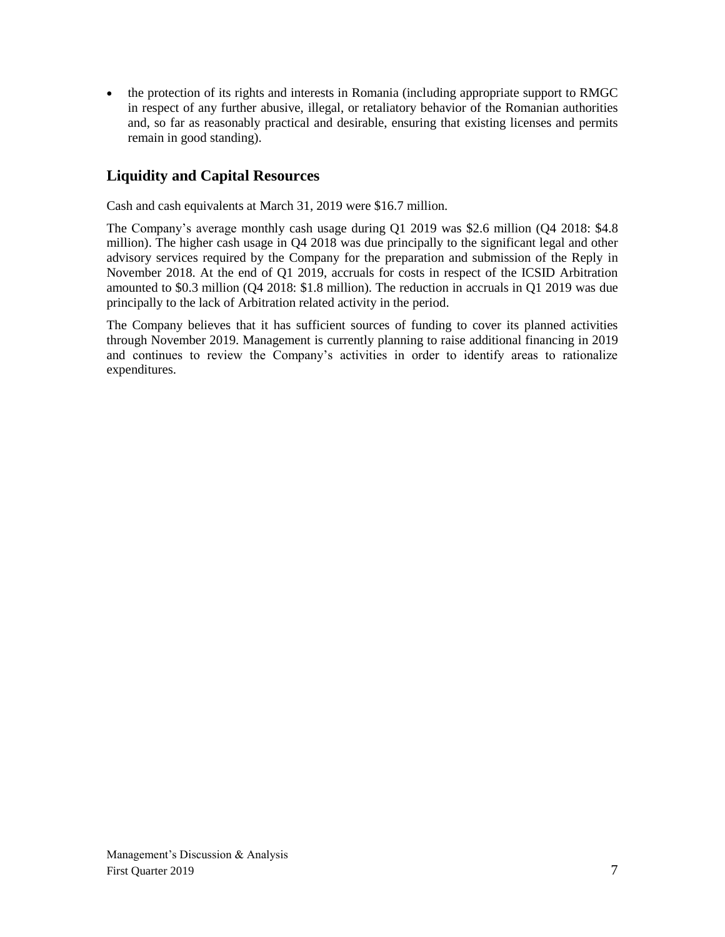• the protection of its rights and interests in Romania (including appropriate support to RMGC in respect of any further abusive, illegal, or retaliatory behavior of the Romanian authorities and, so far as reasonably practical and desirable, ensuring that existing licenses and permits remain in good standing).

# **Liquidity and Capital Resources**

Cash and cash equivalents at March 31, 2019 were \$16.7 million.

The Company's average monthly cash usage during Q1 2019 was \$2.6 million (Q4 2018: \$4.8 million). The higher cash usage in Q4 2018 was due principally to the significant legal and other advisory services required by the Company for the preparation and submission of the Reply in November 2018. At the end of Q1 2019, accruals for costs in respect of the ICSID Arbitration amounted to \$0.3 million (Q4 2018: \$1.8 million). The reduction in accruals in Q1 2019 was due principally to the lack of Arbitration related activity in the period.

The Company believes that it has sufficient sources of funding to cover its planned activities through November 2019. Management is currently planning to raise additional financing in 2019 and continues to review the Company's activities in order to identify areas to rationalize expenditures.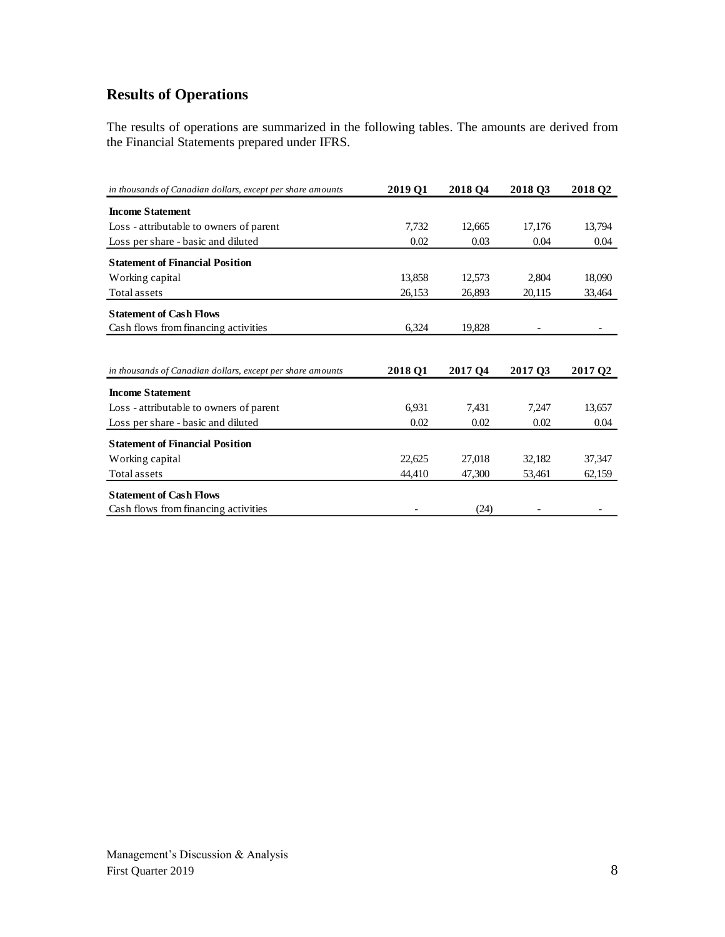# **Results of Operations**

The results of operations are summarized in the following tables. The amounts are derived from the Financial Statements prepared under IFRS.

| in thousands of Canadian dollars, except per share amounts | 2019 Q1 | 2018 Q4             | 2018 Q3 | 2018 Q <sub>2</sub> |
|------------------------------------------------------------|---------|---------------------|---------|---------------------|
| <b>Income Statement</b>                                    |         |                     |         |                     |
| Loss - attributable to owners of parent                    | 7,732   | 12,665              | 17,176  | 13,794              |
| Loss per share - basic and diluted                         | 0.02    | 0.03                | 0.04    | 0.04                |
| <b>Statement of Financial Position</b>                     |         |                     |         |                     |
| Working capital                                            | 13,858  | 12,573              | 2,804   | 18,090              |
| Total assets                                               | 26,153  | 26,893              | 20,115  | 33,464              |
| <b>Statement of Cash Flows</b>                             |         |                     |         |                     |
| Cash flows from financing activities                       | 6,324   | 19,828              |         |                     |
|                                                            |         |                     |         |                     |
| in thousands of Canadian dollars, except per share amounts | 2018 Q1 | 2017 O <sub>4</sub> | 2017 Q3 | 2017 Q <sub>2</sub> |
| <b>Income Statement</b>                                    |         |                     |         |                     |
| Loss - attributable to owners of parent                    | 6,931   | 7,431               | 7,247   | 13,657              |
| Loss per share - basic and diluted                         | 0.02    | 0.02                | 0.02    | 0.04                |
| <b>Statement of Financial Position</b>                     |         |                     |         |                     |
| Working capital                                            | 22,625  | 27,018              | 32,182  | 37,347              |
| Total assets                                               | 44,410  | 47,300              | 53,461  | 62,159              |
| <b>Statement of Cash Flows</b>                             |         |                     |         |                     |
| Cash flows from financing activities                       |         | (24)                |         |                     |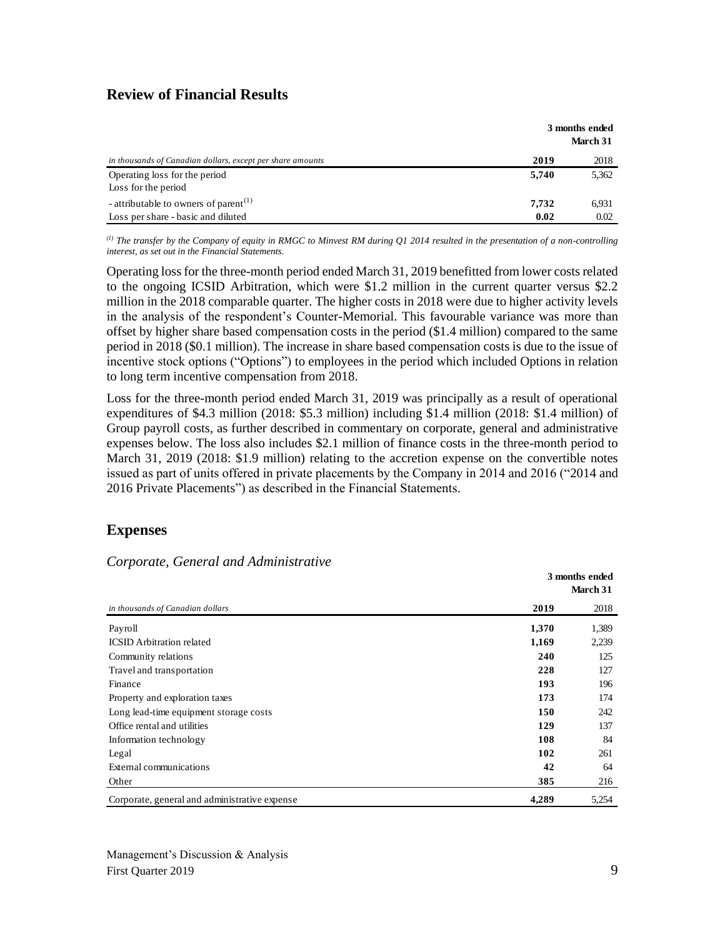### **Review of Financial Results**

|                                                            |       | 3 months ended<br>March 31 |
|------------------------------------------------------------|-------|----------------------------|
| in thousands of Canadian dollars, except per share amounts | 2019  | 2018                       |
| Operating loss for the period<br>Loss for the period       | 5,740 | 5,362                      |
| - attributable to owners of parent <sup>(1)</sup>          | 7.732 | 6.931                      |
| Loss per share - basic and diluted                         | 0.02  | 0.02                       |

*(1) The transfer by the Company of equity in RMGC to Minvest RM during Q1 2014 resulted in the presentation of a non-controlling interest, as set out in the Financial Statements.*

Operating lossfor the three-month period ended March 31, 2019 benefitted from lower costs related to the ongoing ICSID Arbitration, which were \$1.2 million in the current quarter versus \$2.2 million in the 2018 comparable quarter. The higher costs in 2018 were due to higher activity levels in the analysis of the respondent's Counter-Memorial. This favourable variance was more than offset by higher share based compensation costs in the period (\$1.4 million) compared to the same period in 2018 (\$0.1 million). The increase in share based compensation costs is due to the issue of incentive stock options ("Options") to employees in the period which included Options in relation to long term incentive compensation from 2018.

Loss for the three-month period ended March 31, 2019 was principally as a result of operational expenditures of \$4.3 million (2018: \$5.3 million) including \$1.4 million (2018: \$1.4 million) of Group payroll costs, as further described in commentary on corporate, general and administrative expenses below. The loss also includes \$2.1 million of finance costs in the three-month period to March 31, 2019 (2018: \$1.9 million) relating to the accretion expense on the convertible notes issued as part of units offered in private placements by the Company in 2014 and 2016 ("2014 and 2016 Private Placements") as described in the Financial Statements.

### **Expenses**

#### *Corporate, General and Administrative*

|                                               | 3 months ended<br>March 31 |       |  |
|-----------------------------------------------|----------------------------|-------|--|
| in thousands of Canadian dollars              | 2019                       | 2018  |  |
| Payroll                                       | 1,370                      | 1,389 |  |
| <b>ICSID</b> Arbitration related              | 1,169                      | 2,239 |  |
| Community relations                           | 240                        | 125   |  |
| Travel and transportation                     | 228                        | 127   |  |
| Finance                                       | 193                        | 196   |  |
| Property and exploration taxes                | 173                        | 174   |  |
| Long lead-time equipment storage costs        | 150                        | 242   |  |
| Office rental and utilities                   | 129                        | 137   |  |
| Information technology                        | 108                        | 84    |  |
| Legal                                         | 102                        | 261   |  |
| External communications                       | 42                         | 64    |  |
| Other                                         | 385                        | 216   |  |
| Corporate, general and administrative expense | 4,289                      | 5,254 |  |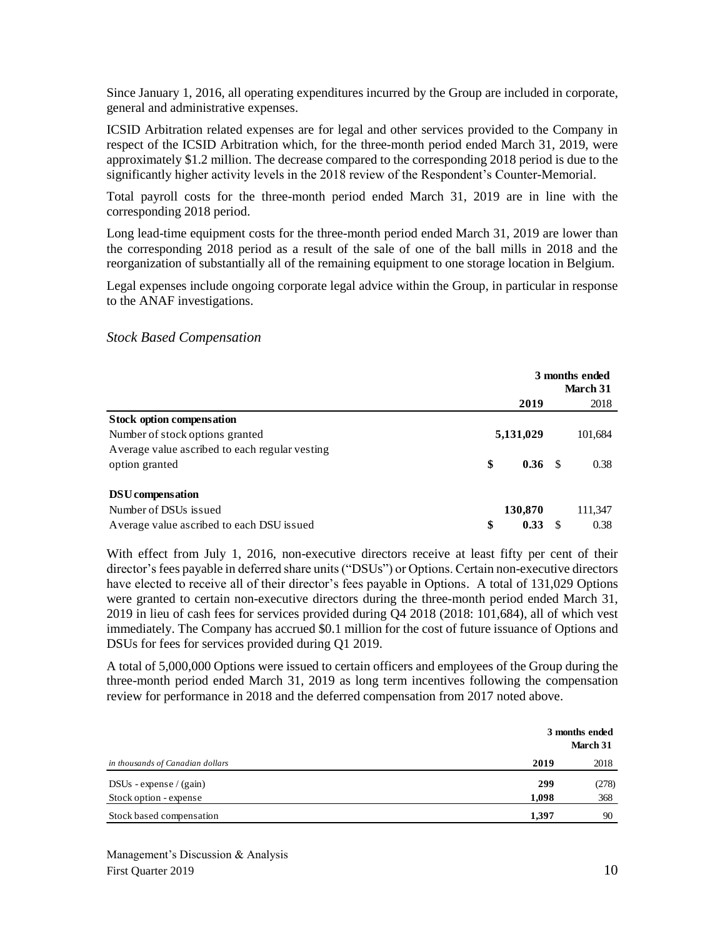Since January 1, 2016, all operating expenditures incurred by the Group are included in corporate, general and administrative expenses.

ICSID Arbitration related expenses are for legal and other services provided to the Company in respect of the ICSID Arbitration which, for the three-month period ended March 31, 2019, were approximately \$1.2 million. The decrease compared to the corresponding 2018 period is due to the significantly higher activity levels in the 2018 review of the Respondent's Counter-Memorial.

Total payroll costs for the three-month period ended March 31, 2019 are in line with the corresponding 2018 period.

Long lead-time equipment costs for the three-month period ended March 31, 2019 are lower than the corresponding 2018 period as a result of the sale of one of the ball mills in 2018 and the reorganization of substantially all of the remaining equipment to one storage location in Belgium.

Legal expenses include ongoing corporate legal advice within the Group, in particular in response to the ANAF investigations.

#### *Stock Based Compensation*

|                                                 | 3 months ended |                   |   |          |
|-------------------------------------------------|----------------|-------------------|---|----------|
|                                                 |                |                   |   | March 31 |
|                                                 |                | 2019              |   | 2018     |
| <b>Stock option compensation</b>                |                |                   |   |          |
| Number of stock options granted                 |                | 5,131,029         |   | 101,684  |
| Average value as cribed to each regular vesting |                |                   |   |          |
| option granted                                  | \$             | 0.36 <sup>5</sup> |   | 0.38     |
| DSU compensation                                |                |                   |   |          |
| Number of DSUs issued                           |                | 130,870           |   | 111,347  |
| Average value ascribed to each DSU issued       | \$             | 0.33              | S | 0.38     |

With effect from July 1, 2016, non-executive directors receive at least fifty per cent of their director's fees payable in deferred share units ("DSUs") or Options. Certain non-executive directors have elected to receive all of their director's fees payable in Options. A total of 131,029 Options were granted to certain non-executive directors during the three-month period ended March 31, 2019 in lieu of cash fees for services provided during Q4 2018 (2018: 101,684), all of which vest immediately. The Company has accrued \$0.1 million for the cost of future issuance of Options and DSUs for fees for services provided during Q1 2019.

A total of 5,000,000 Options were issued to certain officers and employees of the Group during the three-month period ended March 31, 2019 as long term incentives following the compensation review for performance in 2018 and the deferred compensation from 2017 noted above.

|                                  |       | 3 months ended<br>March 31 |
|----------------------------------|-------|----------------------------|
| in thousands of Canadian dollars | 2019  | 2018                       |
| $DSUs - expense / (gain)$        | 299   | (278)                      |
| Stock option - expense           | 1,098 | 368                        |
| Stock based compensation         | 1.397 | 90                         |

Management's Discussion & Analysis First Quarter 2019 10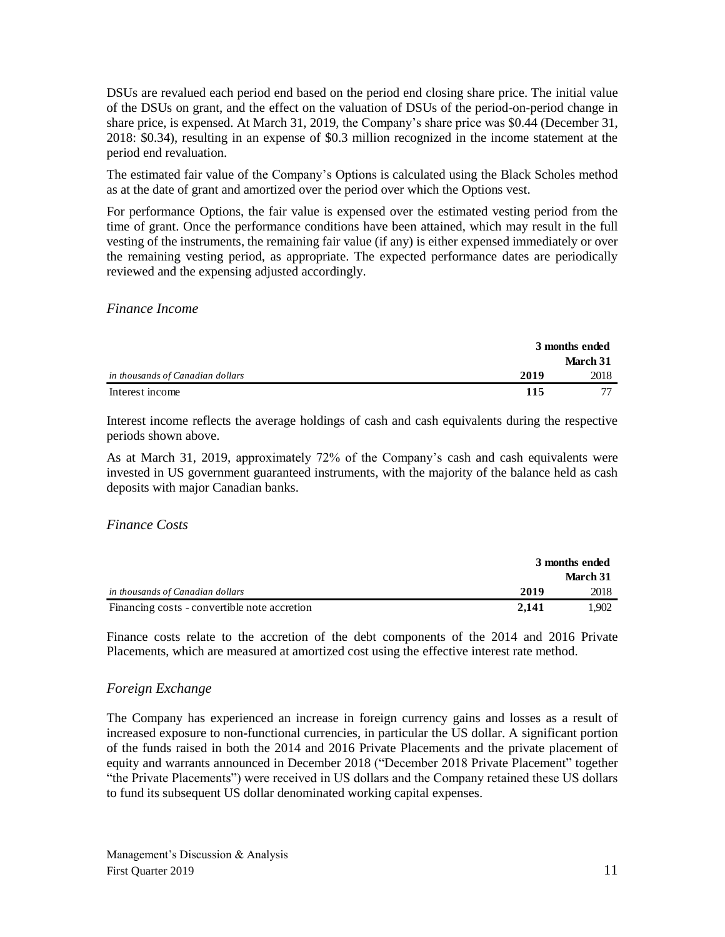DSUs are revalued each period end based on the period end closing share price. The initial value of the DSUs on grant, and the effect on the valuation of DSUs of the period-on-period change in share price, is expensed. At March 31, 2019, the Company's share price was \$0.44 (December 31, 2018: \$0.34), resulting in an expense of \$0.3 million recognized in the income statement at the period end revaluation.

The estimated fair value of the Company's Options is calculated using the Black Scholes method as at the date of grant and amortized over the period over which the Options vest.

For performance Options, the fair value is expensed over the estimated vesting period from the time of grant. Once the performance conditions have been attained, which may result in the full vesting of the instruments, the remaining fair value (if any) is either expensed immediately or over the remaining vesting period, as appropriate. The expected performance dates are periodically reviewed and the expensing adjusted accordingly.

*Finance Income*

|                                  |      | 3 months ended |  |
|----------------------------------|------|----------------|--|
|                                  |      | March 31       |  |
| in thousands of Canadian dollars | 2019 | 2018           |  |
| Interest income                  | 115  |                |  |

Interest income reflects the average holdings of cash and cash equivalents during the respective periods shown above.

As at March 31, 2019, approximately 72% of the Company's cash and cash equivalents were invested in US government guaranteed instruments, with the majority of the balance held as cash deposits with major Canadian banks.

#### *Finance Costs*

|                                              | 3 months ended |          |
|----------------------------------------------|----------------|----------|
|                                              |                | March 31 |
| in thousands of Canadian dollars             | 2019           | 2018     |
| Financing costs - convertible note accretion | 2.141          | 1.902    |

Finance costs relate to the accretion of the debt components of the 2014 and 2016 Private Placements, which are measured at amortized cost using the effective interest rate method.

#### *Foreign Exchange*

The Company has experienced an increase in foreign currency gains and losses as a result of increased exposure to non-functional currencies, in particular the US dollar. A significant portion of the funds raised in both the 2014 and 2016 Private Placements and the private placement of equity and warrants announced in December 2018 ("December 2018 Private Placement" together "the Private Placements") were received in US dollars and the Company retained these US dollars to fund its subsequent US dollar denominated working capital expenses.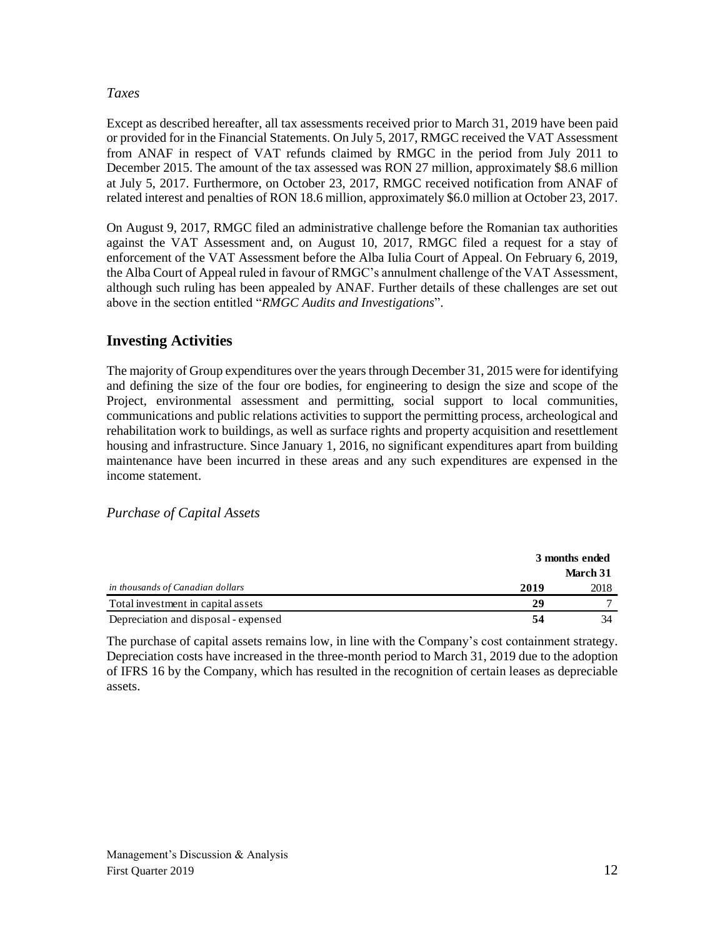#### *Taxes*

Except as described hereafter, all tax assessments received prior to March 31, 2019 have been paid or provided for in the Financial Statements. On July 5, 2017, RMGC received the VAT Assessment from ANAF in respect of VAT refunds claimed by RMGC in the period from July 2011 to December 2015. The amount of the tax assessed was RON 27 million, approximately \$8.6 million at July 5, 2017. Furthermore, on October 23, 2017, RMGC received notification from ANAF of related interest and penalties of RON 18.6 million, approximately \$6.0 million at October 23, 2017.

On August 9, 2017, RMGC filed an administrative challenge before the Romanian tax authorities against the VAT Assessment and, on August 10, 2017, RMGC filed a request for a stay of enforcement of the VAT Assessment before the Alba Iulia Court of Appeal. On February 6, 2019, the Alba Court of Appeal ruled in favour of RMGC's annulment challenge of the VAT Assessment, although such ruling has been appealed by ANAF. Further details of these challenges are set out above in the section entitled "*RMGC Audits and Investigations*".

# **Investing Activities**

The majority of Group expenditures over the years through December 31, 2015 were for identifying and defining the size of the four ore bodies, for engineering to design the size and scope of the Project, environmental assessment and permitting, social support to local communities, communications and public relations activities to support the permitting process, archeological and rehabilitation work to buildings, as well as surface rights and property acquisition and resettlement housing and infrastructure. Since January 1, 2016, no significant expenditures apart from building maintenance have been incurred in these areas and any such expenditures are expensed in the income statement.

#### *Purchase of Capital Assets*

|                                      | 3 months ended |          |
|--------------------------------------|----------------|----------|
|                                      |                | March 31 |
| in thousands of Canadian dollars     | 2019           | 2018     |
| Total investment in capital assets   | 29             |          |
| Depreciation and disposal - expensed | 54             | 34       |
|                                      |                |          |

The purchase of capital assets remains low, in line with the Company's cost containment strategy. Depreciation costs have increased in the three-month period to March 31, 2019 due to the adoption of IFRS 16 by the Company, which has resulted in the recognition of certain leases as depreciable assets.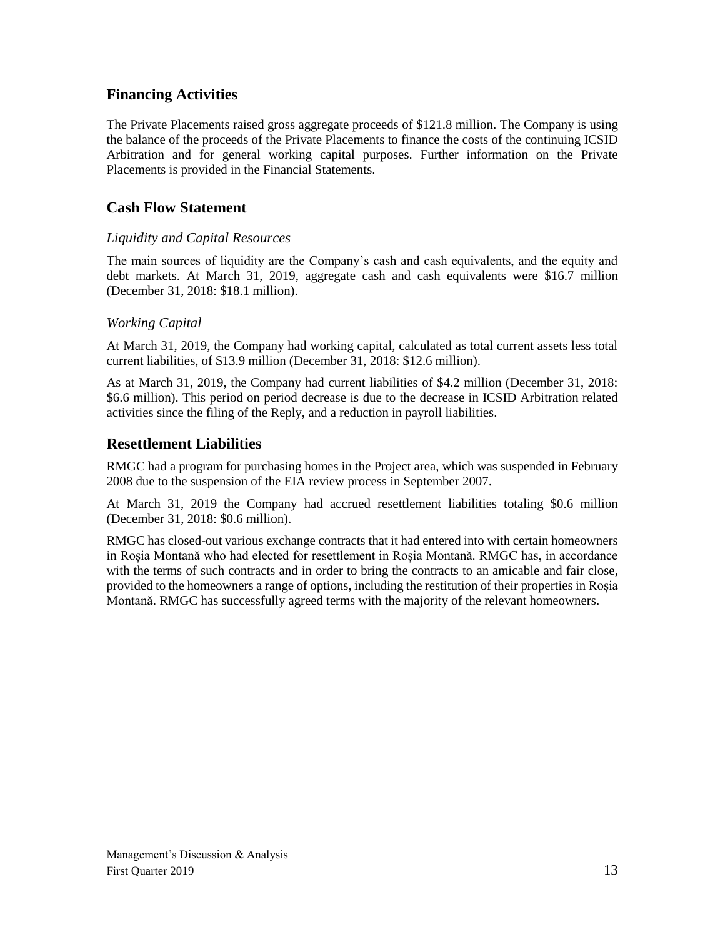### **Financing Activities**

The Private Placements raised gross aggregate proceeds of \$121.8 million. The Company is using the balance of the proceeds of the Private Placements to finance the costs of the continuing ICSID Arbitration and for general working capital purposes. Further information on the Private Placements is provided in the Financial Statements.

### **Cash Flow Statement**

#### *Liquidity and Capital Resources*

The main sources of liquidity are the Company's cash and cash equivalents, and the equity and debt markets. At March 31, 2019, aggregate cash and cash equivalents were \$16.7 million (December 31, 2018: \$18.1 million).

#### *Working Capital*

At March 31, 2019, the Company had working capital, calculated as total current assets less total current liabilities, of \$13.9 million (December 31, 2018: \$12.6 million).

As at March 31, 2019, the Company had current liabilities of \$4.2 million (December 31, 2018: \$6.6 million). This period on period decrease is due to the decrease in ICSID Arbitration related activities since the filing of the Reply, and a reduction in payroll liabilities.

### **Resettlement Liabilities**

RMGC had a program for purchasing homes in the Project area, which was suspended in February 2008 due to the suspension of the EIA review process in September 2007.

At March 31, 2019 the Company had accrued resettlement liabilities totaling \$0.6 million (December 31, 2018: \$0.6 million).

RMGC has closed-out various exchange contracts that it had entered into with certain homeowners in Roșia Montană who had elected for resettlement in Roșia Montană. RMGC has, in accordance with the terms of such contracts and in order to bring the contracts to an amicable and fair close, provided to the homeowners a range of options, including the restitution of their properties in Roșia Montană. RMGC has successfully agreed terms with the majority of the relevant homeowners.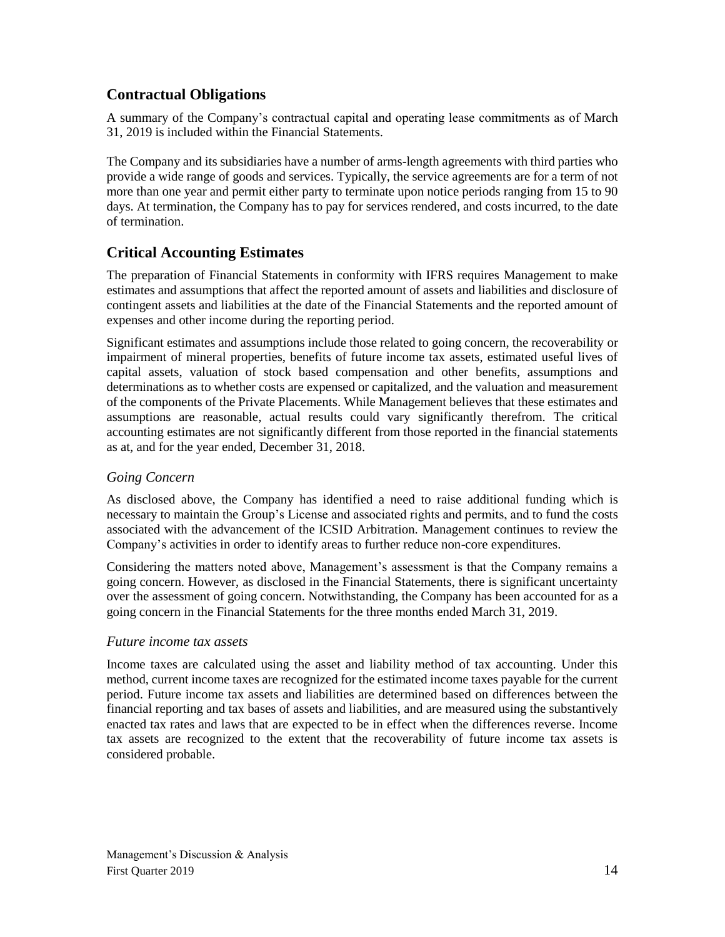# **Contractual Obligations**

A summary of the Company's contractual capital and operating lease commitments as of March 31, 2019 is included within the Financial Statements.

The Company and its subsidiaries have a number of arms-length agreements with third parties who provide a wide range of goods and services. Typically, the service agreements are for a term of not more than one year and permit either party to terminate upon notice periods ranging from 15 to 90 days. At termination, the Company has to pay for services rendered, and costs incurred, to the date of termination.

# **Critical Accounting Estimates**

The preparation of Financial Statements in conformity with IFRS requires Management to make estimates and assumptions that affect the reported amount of assets and liabilities and disclosure of contingent assets and liabilities at the date of the Financial Statements and the reported amount of expenses and other income during the reporting period.

Significant estimates and assumptions include those related to going concern, the recoverability or impairment of mineral properties, benefits of future income tax assets, estimated useful lives of capital assets, valuation of stock based compensation and other benefits, assumptions and determinations as to whether costs are expensed or capitalized, and the valuation and measurement of the components of the Private Placements. While Management believes that these estimates and assumptions are reasonable, actual results could vary significantly therefrom. The critical accounting estimates are not significantly different from those reported in the financial statements as at, and for the year ended, December 31, 2018.

### *Going Concern*

As disclosed above, the Company has identified a need to raise additional funding which is necessary to maintain the Group's License and associated rights and permits, and to fund the costs associated with the advancement of the ICSID Arbitration. Management continues to review the Company's activities in order to identify areas to further reduce non-core expenditures.

Considering the matters noted above, Management's assessment is that the Company remains a going concern. However, as disclosed in the Financial Statements, there is significant uncertainty over the assessment of going concern. Notwithstanding, the Company has been accounted for as a going concern in the Financial Statements for the three months ended March 31, 2019.

#### *Future income tax assets*

Income taxes are calculated using the asset and liability method of tax accounting. Under this method, current income taxes are recognized for the estimated income taxes payable for the current period. Future income tax assets and liabilities are determined based on differences between the financial reporting and tax bases of assets and liabilities, and are measured using the substantively enacted tax rates and laws that are expected to be in effect when the differences reverse. Income tax assets are recognized to the extent that the recoverability of future income tax assets is considered probable.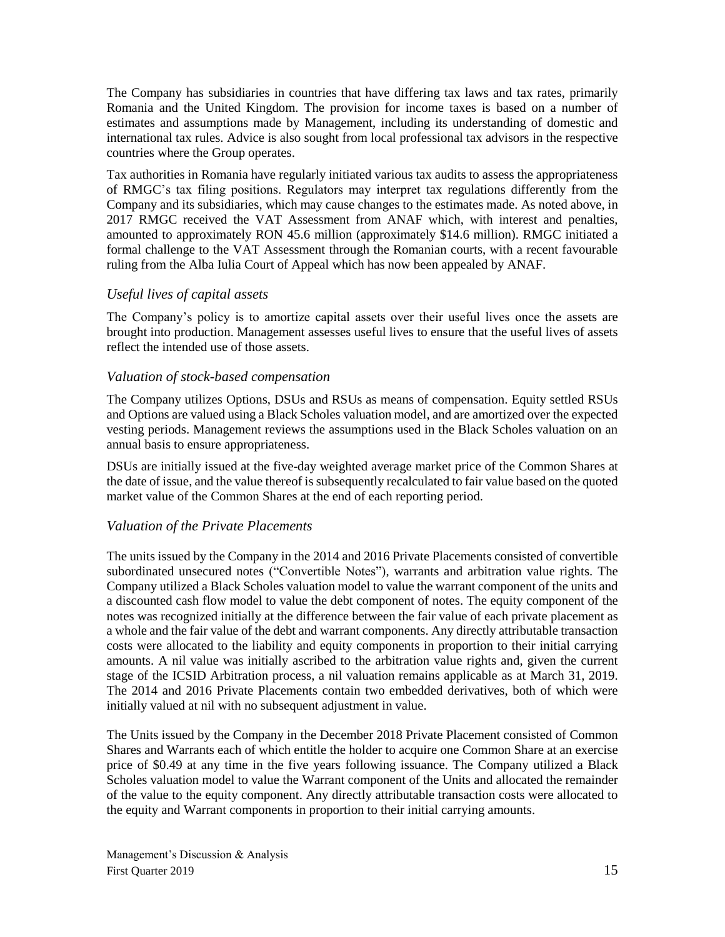The Company has subsidiaries in countries that have differing tax laws and tax rates, primarily Romania and the United Kingdom. The provision for income taxes is based on a number of estimates and assumptions made by Management, including its understanding of domestic and international tax rules. Advice is also sought from local professional tax advisors in the respective countries where the Group operates.

Tax authorities in Romania have regularly initiated various tax audits to assess the appropriateness of RMGC's tax filing positions. Regulators may interpret tax regulations differently from the Company and its subsidiaries, which may cause changes to the estimates made. As noted above, in 2017 RMGC received the VAT Assessment from ANAF which, with interest and penalties, amounted to approximately RON 45.6 million (approximately \$14.6 million). RMGC initiated a formal challenge to the VAT Assessment through the Romanian courts, with a recent favourable ruling from the Alba Iulia Court of Appeal which has now been appealed by ANAF.

#### *Useful lives of capital assets*

The Company's policy is to amortize capital assets over their useful lives once the assets are brought into production. Management assesses useful lives to ensure that the useful lives of assets reflect the intended use of those assets.

#### *Valuation of stock-based compensation*

The Company utilizes Options, DSUs and RSUs as means of compensation. Equity settled RSUs and Options are valued using a Black Scholes valuation model, and are amortized over the expected vesting periods. Management reviews the assumptions used in the Black Scholes valuation on an annual basis to ensure appropriateness.

DSUs are initially issued at the five-day weighted average market price of the Common Shares at the date of issue, and the value thereof is subsequently recalculated to fair value based on the quoted market value of the Common Shares at the end of each reporting period.

#### *Valuation of the Private Placements*

The units issued by the Company in the 2014 and 2016 Private Placements consisted of convertible subordinated unsecured notes ("Convertible Notes"), warrants and arbitration value rights. The Company utilized a Black Scholes valuation model to value the warrant component of the units and a discounted cash flow model to value the debt component of notes. The equity component of the notes was recognized initially at the difference between the fair value of each private placement as a whole and the fair value of the debt and warrant components. Any directly attributable transaction costs were allocated to the liability and equity components in proportion to their initial carrying amounts. A nil value was initially ascribed to the arbitration value rights and, given the current stage of the ICSID Arbitration process, a nil valuation remains applicable as at March 31, 2019. The 2014 and 2016 Private Placements contain two embedded derivatives, both of which were initially valued at nil with no subsequent adjustment in value.

The Units issued by the Company in the December 2018 Private Placement consisted of Common Shares and Warrants each of which entitle the holder to acquire one Common Share at an exercise price of \$0.49 at any time in the five years following issuance. The Company utilized a Black Scholes valuation model to value the Warrant component of the Units and allocated the remainder of the value to the equity component. Any directly attributable transaction costs were allocated to the equity and Warrant components in proportion to their initial carrying amounts.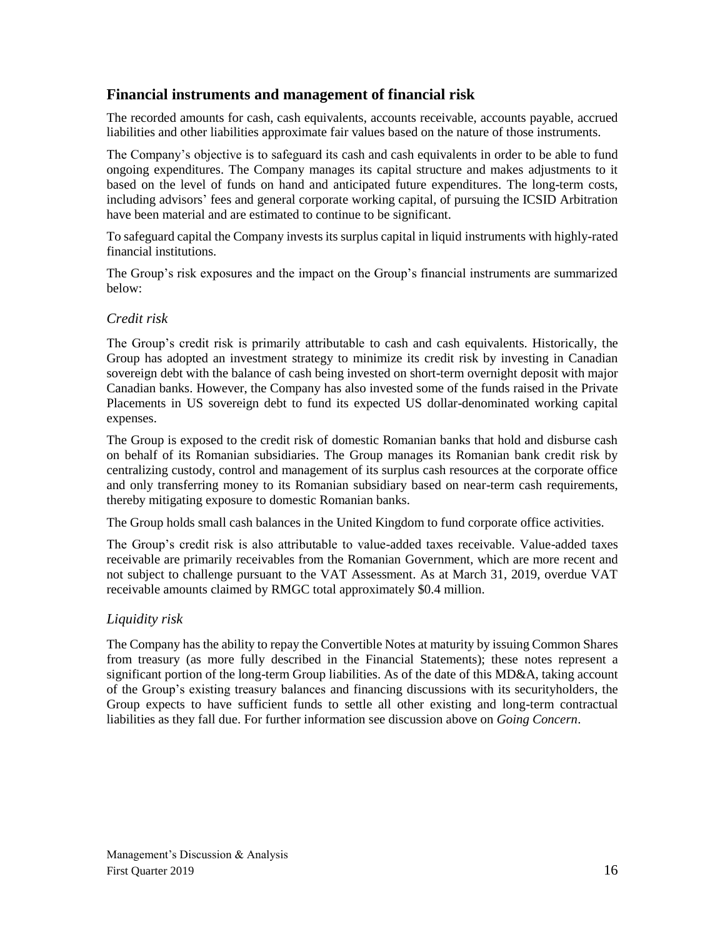### **Financial instruments and management of financial risk**

The recorded amounts for cash, cash equivalents, accounts receivable, accounts payable, accrued liabilities and other liabilities approximate fair values based on the nature of those instruments.

The Company's objective is to safeguard its cash and cash equivalents in order to be able to fund ongoing expenditures. The Company manages its capital structure and makes adjustments to it based on the level of funds on hand and anticipated future expenditures. The long-term costs, including advisors' fees and general corporate working capital, of pursuing the ICSID Arbitration have been material and are estimated to continue to be significant.

To safeguard capital the Company invests its surplus capital in liquid instruments with highly-rated financial institutions.

The Group's risk exposures and the impact on the Group's financial instruments are summarized below:

#### *Credit risk*

The Group's credit risk is primarily attributable to cash and cash equivalents. Historically, the Group has adopted an investment strategy to minimize its credit risk by investing in Canadian sovereign debt with the balance of cash being invested on short-term overnight deposit with major Canadian banks. However, the Company has also invested some of the funds raised in the Private Placements in US sovereign debt to fund its expected US dollar-denominated working capital expenses.

The Group is exposed to the credit risk of domestic Romanian banks that hold and disburse cash on behalf of its Romanian subsidiaries. The Group manages its Romanian bank credit risk by centralizing custody, control and management of its surplus cash resources at the corporate office and only transferring money to its Romanian subsidiary based on near-term cash requirements, thereby mitigating exposure to domestic Romanian banks.

The Group holds small cash balances in the United Kingdom to fund corporate office activities.

The Group's credit risk is also attributable to value-added taxes receivable. Value-added taxes receivable are primarily receivables from the Romanian Government, which are more recent and not subject to challenge pursuant to the VAT Assessment. As at March 31, 2019, overdue VAT receivable amounts claimed by RMGC total approximately \$0.4 million.

### *Liquidity risk*

The Company has the ability to repay the Convertible Notes at maturity by issuing Common Shares from treasury (as more fully described in the Financial Statements); these notes represent a significant portion of the long-term Group liabilities. As of the date of this MD&A, taking account of the Group's existing treasury balances and financing discussions with its securityholders, the Group expects to have sufficient funds to settle all other existing and long-term contractual liabilities as they fall due. For further information see discussion above on *Going Concern*.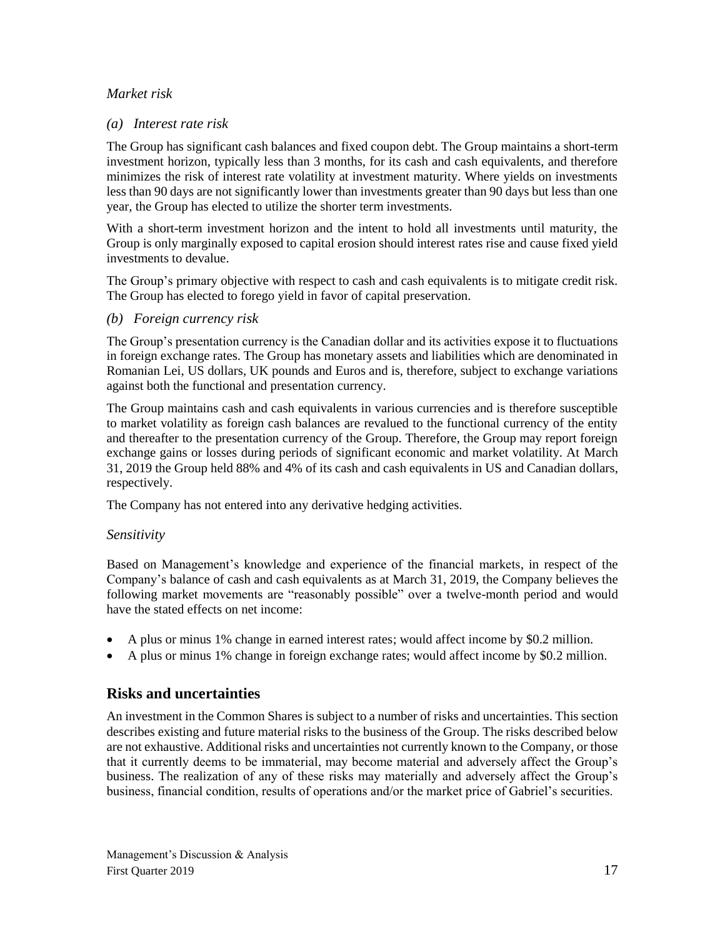#### *Market risk*

#### *(a) Interest rate risk*

The Group has significant cash balances and fixed coupon debt. The Group maintains a short-term investment horizon, typically less than 3 months, for its cash and cash equivalents, and therefore minimizes the risk of interest rate volatility at investment maturity. Where yields on investments less than 90 days are not significantly lower than investments greater than 90 days but less than one year, the Group has elected to utilize the shorter term investments.

With a short-term investment horizon and the intent to hold all investments until maturity, the Group is only marginally exposed to capital erosion should interest rates rise and cause fixed yield investments to devalue.

The Group's primary objective with respect to cash and cash equivalents is to mitigate credit risk. The Group has elected to forego yield in favor of capital preservation.

*(b) Foreign currency risk*

The Group's presentation currency is the Canadian dollar and its activities expose it to fluctuations in foreign exchange rates. The Group has monetary assets and liabilities which are denominated in Romanian Lei, US dollars, UK pounds and Euros and is, therefore, subject to exchange variations against both the functional and presentation currency.

The Group maintains cash and cash equivalents in various currencies and is therefore susceptible to market volatility as foreign cash balances are revalued to the functional currency of the entity and thereafter to the presentation currency of the Group. Therefore, the Group may report foreign exchange gains or losses during periods of significant economic and market volatility. At March 31, 2019 the Group held 88% and 4% of its cash and cash equivalents in US and Canadian dollars, respectively.

The Company has not entered into any derivative hedging activities.

#### *Sensitivity*

Based on Management's knowledge and experience of the financial markets, in respect of the Company's balance of cash and cash equivalents as at March 31, 2019, the Company believes the following market movements are "reasonably possible" over a twelve-month period and would have the stated effects on net income:

- A plus or minus 1% change in earned interest rates; would affect income by \$0.2 million.
- A plus or minus 1% change in foreign exchange rates; would affect income by \$0.2 million.

### **Risks and uncertainties**

An investment in the Common Shares is subject to a number of risks and uncertainties. This section describes existing and future material risks to the business of the Group. The risks described below are not exhaustive. Additional risks and uncertainties not currently known to the Company, or those that it currently deems to be immaterial, may become material and adversely affect the Group's business. The realization of any of these risks may materially and adversely affect the Group's business, financial condition, results of operations and/or the market price of Gabriel's securities.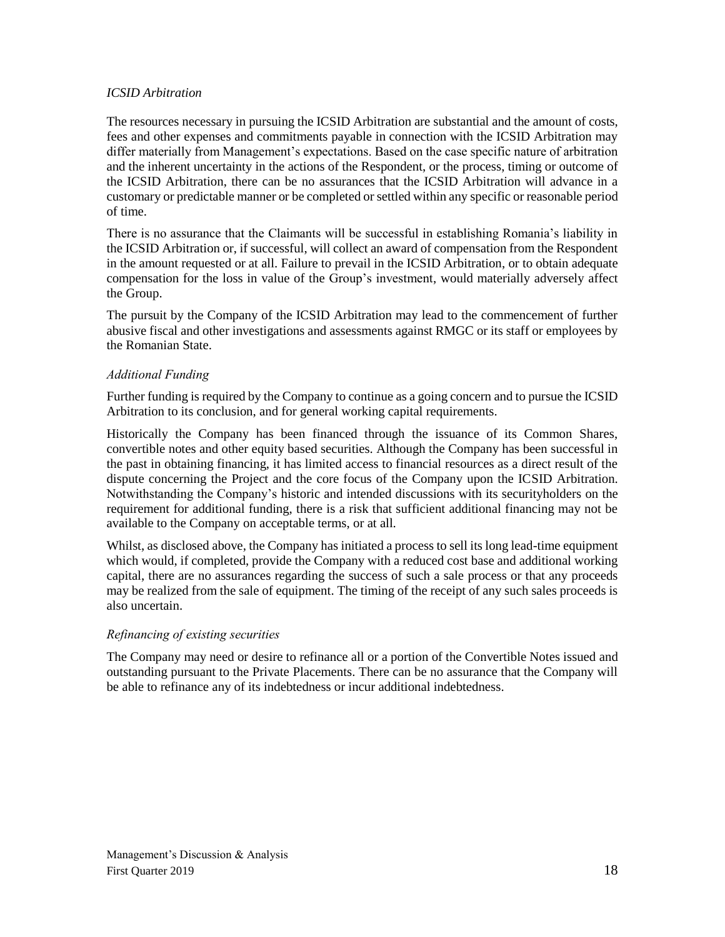#### *ICSID Arbitration*

The resources necessary in pursuing the ICSID Arbitration are substantial and the amount of costs, fees and other expenses and commitments payable in connection with the ICSID Arbitration may differ materially from Management's expectations. Based on the case specific nature of arbitration and the inherent uncertainty in the actions of the Respondent, or the process, timing or outcome of the ICSID Arbitration, there can be no assurances that the ICSID Arbitration will advance in a customary or predictable manner or be completed or settled within any specific or reasonable period of time.

There is no assurance that the Claimants will be successful in establishing Romania's liability in the ICSID Arbitration or, if successful, will collect an award of compensation from the Respondent in the amount requested or at all. Failure to prevail in the ICSID Arbitration, or to obtain adequate compensation for the loss in value of the Group's investment, would materially adversely affect the Group.

The pursuit by the Company of the ICSID Arbitration may lead to the commencement of further abusive fiscal and other investigations and assessments against RMGC or its staff or employees by the Romanian State.

#### *Additional Funding*

Further funding is required by the Company to continue as a going concern and to pursue the ICSID Arbitration to its conclusion, and for general working capital requirements.

Historically the Company has been financed through the issuance of its Common Shares, convertible notes and other equity based securities. Although the Company has been successful in the past in obtaining financing, it has limited access to financial resources as a direct result of the dispute concerning the Project and the core focus of the Company upon the ICSID Arbitration. Notwithstanding the Company's historic and intended discussions with its securityholders on the requirement for additional funding, there is a risk that sufficient additional financing may not be available to the Company on acceptable terms, or at all.

Whilst, as disclosed above, the Company has initiated a process to sell its long lead-time equipment which would, if completed, provide the Company with a reduced cost base and additional working capital, there are no assurances regarding the success of such a sale process or that any proceeds may be realized from the sale of equipment. The timing of the receipt of any such sales proceeds is also uncertain.

#### *Refinancing of existing securities*

The Company may need or desire to refinance all or a portion of the Convertible Notes issued and outstanding pursuant to the Private Placements. There can be no assurance that the Company will be able to refinance any of its indebtedness or incur additional indebtedness.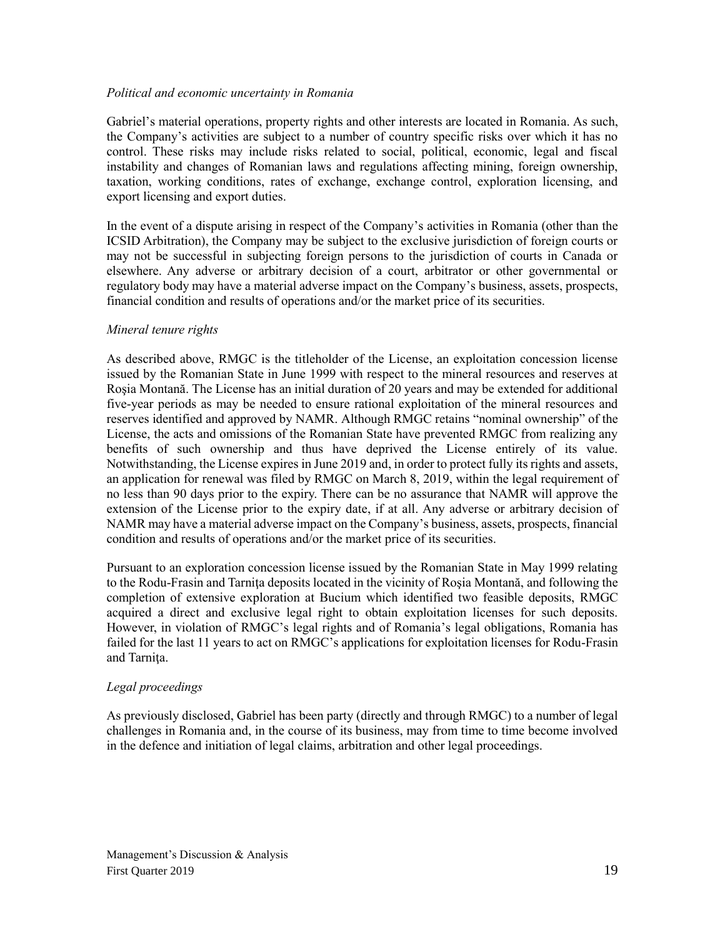#### *Political and economic uncertainty in Romania*

Gabriel's material operations, property rights and other interests are located in Romania. As such, the Company's activities are subject to a number of country specific risks over which it has no control. These risks may include risks related to social, political, economic, legal and fiscal instability and changes of Romanian laws and regulations affecting mining, foreign ownership, taxation, working conditions, rates of exchange, exchange control, exploration licensing, and export licensing and export duties.

In the event of a dispute arising in respect of the Company's activities in Romania (other than the ICSID Arbitration), the Company may be subject to the exclusive jurisdiction of foreign courts or may not be successful in subjecting foreign persons to the jurisdiction of courts in Canada or elsewhere. Any adverse or arbitrary decision of a court, arbitrator or other governmental or regulatory body may have a material adverse impact on the Company's business, assets, prospects, financial condition and results of operations and/or the market price of its securities.

#### *Mineral tenure rights*

As described above, RMGC is the titleholder of the License, an exploitation concession license issued by the Romanian State in June 1999 with respect to the mineral resources and reserves at Roşia Montană. The License has an initial duration of 20 years and may be extended for additional five-year periods as may be needed to ensure rational exploitation of the mineral resources and reserves identified and approved by NAMR. Although RMGC retains "nominal ownership" of the License, the acts and omissions of the Romanian State have prevented RMGC from realizing any benefits of such ownership and thus have deprived the License entirely of its value. Notwithstanding, the License expires in June 2019 and, in order to protect fully its rights and assets, an application for renewal was filed by RMGC on March 8, 2019, within the legal requirement of no less than 90 days prior to the expiry. There can be no assurance that NAMR will approve the extension of the License prior to the expiry date, if at all. Any adverse or arbitrary decision of NAMR may have a material adverse impact on the Company's business, assets, prospects, financial condition and results of operations and/or the market price of its securities.

Pursuant to an exploration concession license issued by the Romanian State in May 1999 relating to the Rodu-Frasin and Tarniţa deposits located in the vicinity of Roşia Montană, and following the completion of extensive exploration at Bucium which identified two feasible deposits, RMGC acquired a direct and exclusive legal right to obtain exploitation licenses for such deposits. However, in violation of RMGC's legal rights and of Romania's legal obligations, Romania has failed for the last 11 years to act on RMGC's applications for exploitation licenses for Rodu-Frasin and Tarniţa.

#### *Legal proceedings*

As previously disclosed, Gabriel has been party (directly and through RMGC) to a number of legal challenges in Romania and, in the course of its business, may from time to time become involved in the defence and initiation of legal claims, arbitration and other legal proceedings.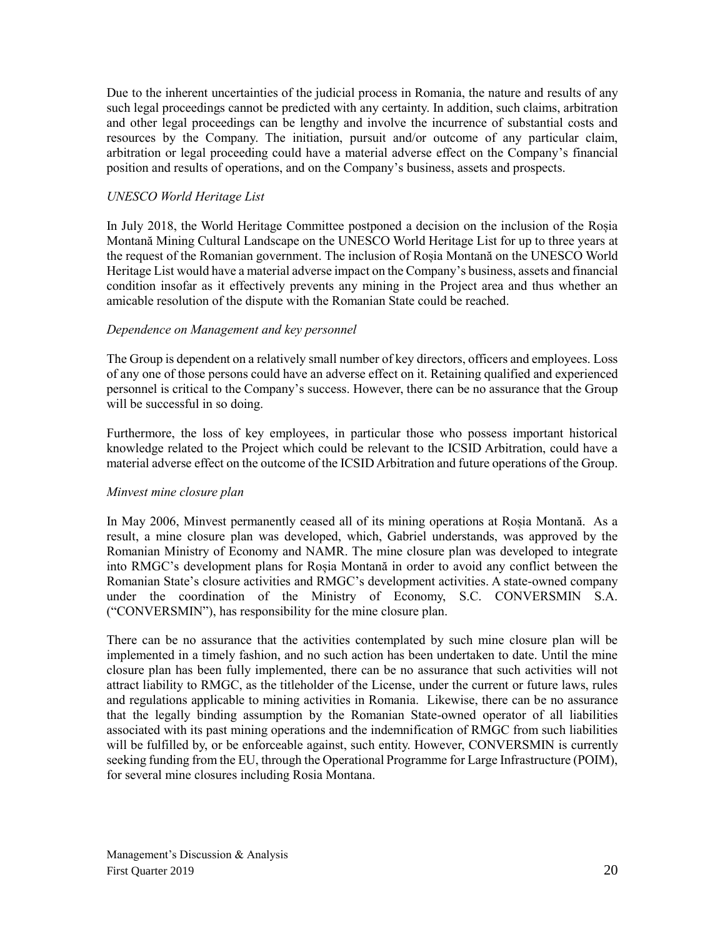Due to the inherent uncertainties of the judicial process in Romania, the nature and results of any such legal proceedings cannot be predicted with any certainty. In addition, such claims, arbitration and other legal proceedings can be lengthy and involve the incurrence of substantial costs and resources by the Company. The initiation, pursuit and/or outcome of any particular claim, arbitration or legal proceeding could have a material adverse effect on the Company's financial position and results of operations, and on the Company's business, assets and prospects.

#### *UNESCO World Heritage List*

In July 2018, the World Heritage Committee postponed a decision on the inclusion of the Roșia Montană Mining Cultural Landscape on the UNESCO World Heritage List for up to three years at the request of the Romanian government. The inclusion of Roșia Montană on the UNESCO World Heritage List would have a material adverse impact on the Company's business, assets and financial condition insofar as it effectively prevents any mining in the Project area and thus whether an amicable resolution of the dispute with the Romanian State could be reached.

#### *Dependence on Management and key personnel*

The Group is dependent on a relatively small number of key directors, officers and employees. Loss of any one of those persons could have an adverse effect on it. Retaining qualified and experienced personnel is critical to the Company's success. However, there can be no assurance that the Group will be successful in so doing.

Furthermore, the loss of key employees, in particular those who possess important historical knowledge related to the Project which could be relevant to the ICSID Arbitration, could have a material adverse effect on the outcome of the ICSID Arbitration and future operations of the Group.

#### *Minvest mine closure plan*

In May 2006, Minvest permanently ceased all of its mining operations at Roșia Montană. As a result, a mine closure plan was developed, which, Gabriel understands, was approved by the Romanian Ministry of Economy and NAMR. The mine closure plan was developed to integrate into RMGC's development plans for Roșia Montană in order to avoid any conflict between the Romanian State's closure activities and RMGC's development activities. A state-owned company under the coordination of the Ministry of Economy, S.C. CONVERSMIN S.A. ("CONVERSMIN"), has responsibility for the mine closure plan.

There can be no assurance that the activities contemplated by such mine closure plan will be implemented in a timely fashion, and no such action has been undertaken to date. Until the mine closure plan has been fully implemented, there can be no assurance that such activities will not attract liability to RMGC, as the titleholder of the License, under the current or future laws, rules and regulations applicable to mining activities in Romania. Likewise, there can be no assurance that the legally binding assumption by the Romanian State-owned operator of all liabilities associated with its past mining operations and the indemnification of RMGC from such liabilities will be fulfilled by, or be enforceable against, such entity. However, CONVERSMIN is currently seeking funding from the EU, through the Operational Programme for Large Infrastructure (POIM), for several mine closures including Rosia Montana.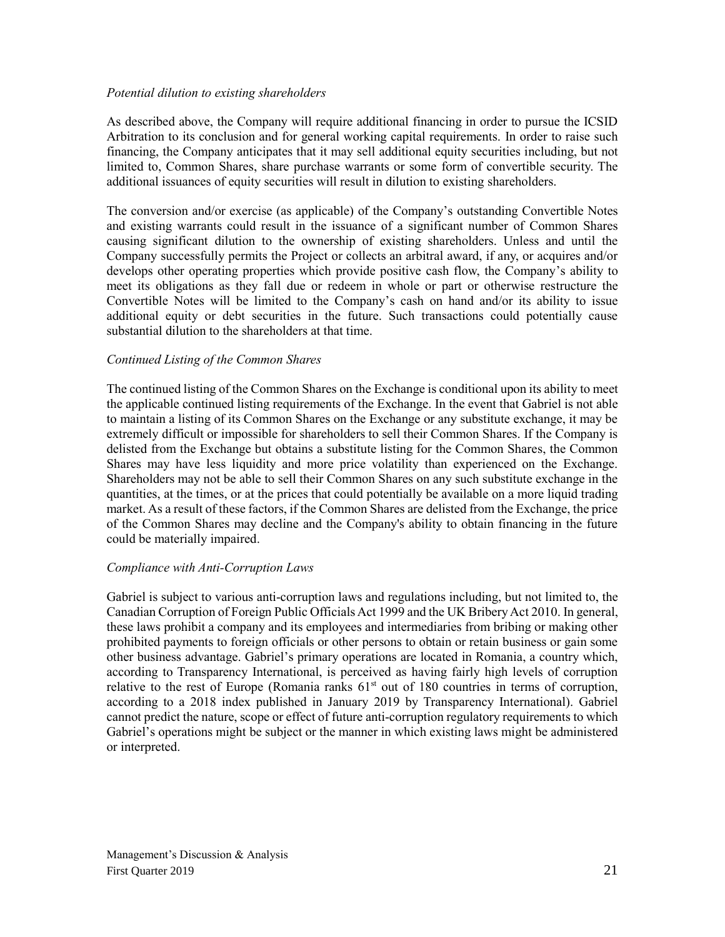#### *Potential dilution to existing shareholders*

As described above, the Company will require additional financing in order to pursue the ICSID Arbitration to its conclusion and for general working capital requirements. In order to raise such financing, the Company anticipates that it may sell additional equity securities including, but not limited to, Common Shares, share purchase warrants or some form of convertible security. The additional issuances of equity securities will result in dilution to existing shareholders.

The conversion and/or exercise (as applicable) of the Company's outstanding Convertible Notes and existing warrants could result in the issuance of a significant number of Common Shares causing significant dilution to the ownership of existing shareholders. Unless and until the Company successfully permits the Project or collects an arbitral award, if any, or acquires and/or develops other operating properties which provide positive cash flow, the Company's ability to meet its obligations as they fall due or redeem in whole or part or otherwise restructure the Convertible Notes will be limited to the Company's cash on hand and/or its ability to issue additional equity or debt securities in the future. Such transactions could potentially cause substantial dilution to the shareholders at that time.

#### *Continued Listing of the Common Shares*

The continued listing of the Common Shares on the Exchange is conditional upon its ability to meet the applicable continued listing requirements of the Exchange. In the event that Gabriel is not able to maintain a listing of its Common Shares on the Exchange or any substitute exchange, it may be extremely difficult or impossible for shareholders to sell their Common Shares. If the Company is delisted from the Exchange but obtains a substitute listing for the Common Shares, the Common Shares may have less liquidity and more price volatility than experienced on the Exchange. Shareholders may not be able to sell their Common Shares on any such substitute exchange in the quantities, at the times, or at the prices that could potentially be available on a more liquid trading market. As a result of these factors, if the Common Shares are delisted from the Exchange, the price of the Common Shares may decline and the Company's ability to obtain financing in the future could be materially impaired.

#### *Compliance with Anti-Corruption Laws*

Gabriel is subject to various anti-corruption laws and regulations including, but not limited to, the Canadian Corruption of Foreign Public Officials Act 1999 and the UK Bribery Act 2010. In general, these laws prohibit a company and its employees and intermediaries from bribing or making other prohibited payments to foreign officials or other persons to obtain or retain business or gain some other business advantage. Gabriel's primary operations are located in Romania, a country which, according to Transparency International, is perceived as having fairly high levels of corruption relative to the rest of Europe (Romania ranks  $61<sup>st</sup>$  out of 180 countries in terms of corruption, according to a 2018 index published in January 2019 by Transparency International). Gabriel cannot predict the nature, scope or effect of future anti-corruption regulatory requirements to which Gabriel's operations might be subject or the manner in which existing laws might be administered or interpreted.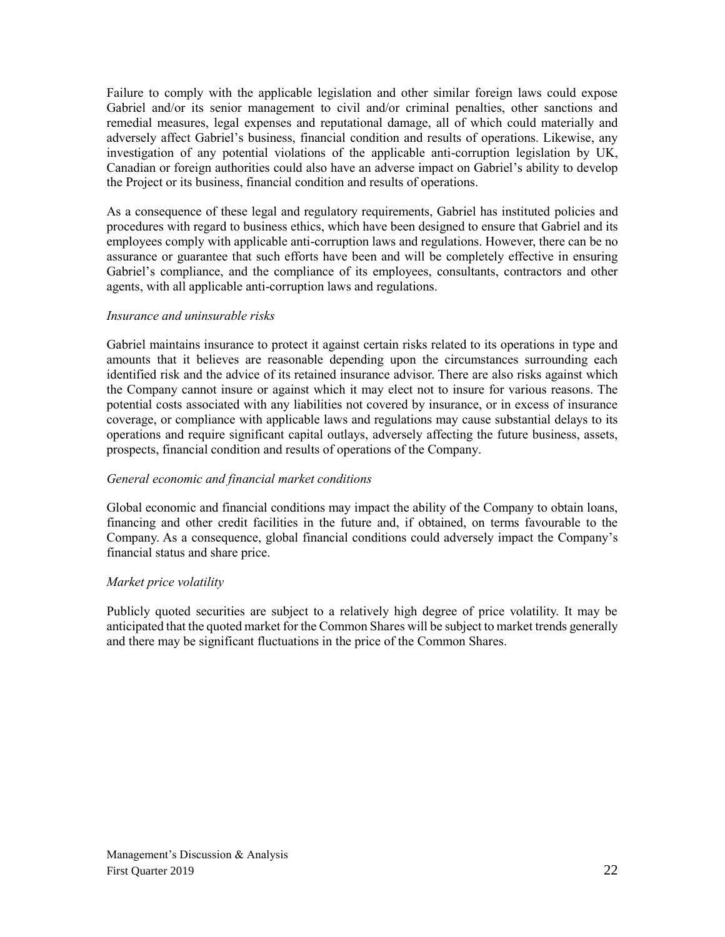Failure to comply with the applicable legislation and other similar foreign laws could expose Gabriel and/or its senior management to civil and/or criminal penalties, other sanctions and remedial measures, legal expenses and reputational damage, all of which could materially and adversely affect Gabriel's business, financial condition and results of operations. Likewise, any investigation of any potential violations of the applicable anti-corruption legislation by UK, Canadian or foreign authorities could also have an adverse impact on Gabriel's ability to develop the Project or its business, financial condition and results of operations.

As a consequence of these legal and regulatory requirements, Gabriel has instituted policies and procedures with regard to business ethics, which have been designed to ensure that Gabriel and its employees comply with applicable anti-corruption laws and regulations. However, there can be no assurance or guarantee that such efforts have been and will be completely effective in ensuring Gabriel's compliance, and the compliance of its employees, consultants, contractors and other agents, with all applicable anti-corruption laws and regulations.

#### *Insurance and uninsurable risks*

Gabriel maintains insurance to protect it against certain risks related to its operations in type and amounts that it believes are reasonable depending upon the circumstances surrounding each identified risk and the advice of its retained insurance advisor. There are also risks against which the Company cannot insure or against which it may elect not to insure for various reasons. The potential costs associated with any liabilities not covered by insurance, or in excess of insurance coverage, or compliance with applicable laws and regulations may cause substantial delays to its operations and require significant capital outlays, adversely affecting the future business, assets, prospects, financial condition and results of operations of the Company.

#### *General economic and financial market conditions*

Global economic and financial conditions may impact the ability of the Company to obtain loans, financing and other credit facilities in the future and, if obtained, on terms favourable to the Company. As a consequence, global financial conditions could adversely impact the Company's financial status and share price.

#### *Market price volatility*

Publicly quoted securities are subject to a relatively high degree of price volatility. It may be anticipated that the quoted market for the Common Shares will be subject to market trends generally and there may be significant fluctuations in the price of the Common Shares.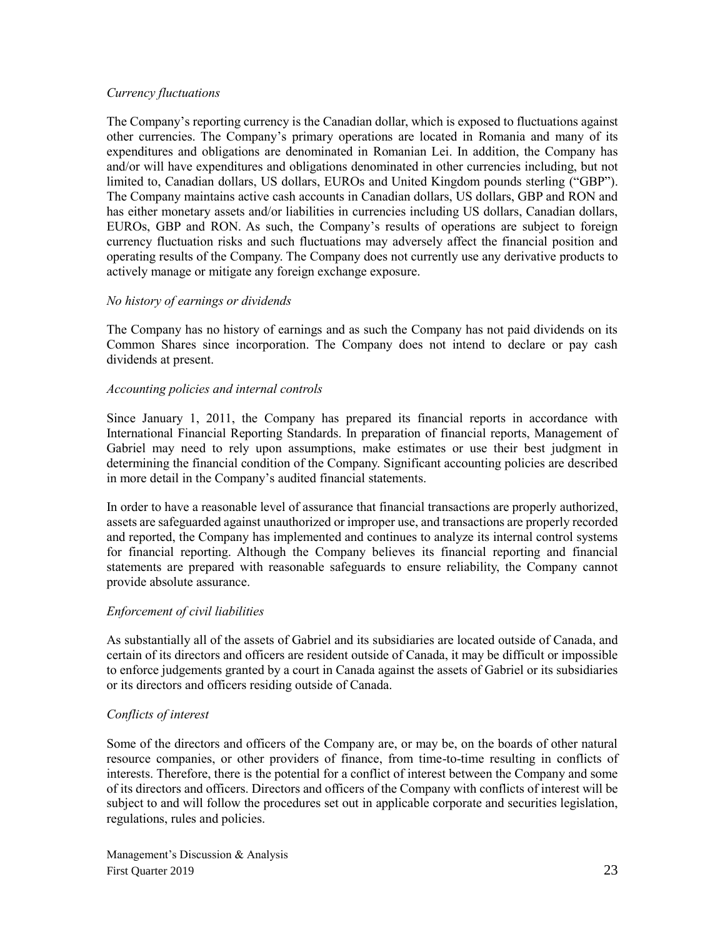#### *Currency fluctuations*

The Company's reporting currency is the Canadian dollar, which is exposed to fluctuations against other currencies. The Company's primary operations are located in Romania and many of its expenditures and obligations are denominated in Romanian Lei. In addition, the Company has and/or will have expenditures and obligations denominated in other currencies including, but not limited to, Canadian dollars, US dollars, EUROs and United Kingdom pounds sterling ("GBP"). The Company maintains active cash accounts in Canadian dollars, US dollars, GBP and RON and has either monetary assets and/or liabilities in currencies including US dollars, Canadian dollars, EUROs, GBP and RON. As such, the Company's results of operations are subject to foreign currency fluctuation risks and such fluctuations may adversely affect the financial position and operating results of the Company. The Company does not currently use any derivative products to actively manage or mitigate any foreign exchange exposure.

#### *No history of earnings or dividends*

The Company has no history of earnings and as such the Company has not paid dividends on its Common Shares since incorporation. The Company does not intend to declare or pay cash dividends at present.

#### *Accounting policies and internal controls*

Since January 1, 2011, the Company has prepared its financial reports in accordance with International Financial Reporting Standards. In preparation of financial reports, Management of Gabriel may need to rely upon assumptions, make estimates or use their best judgment in determining the financial condition of the Company. Significant accounting policies are described in more detail in the Company's audited financial statements.

In order to have a reasonable level of assurance that financial transactions are properly authorized, assets are safeguarded against unauthorized or improper use, and transactions are properly recorded and reported, the Company has implemented and continues to analyze its internal control systems for financial reporting. Although the Company believes its financial reporting and financial statements are prepared with reasonable safeguards to ensure reliability, the Company cannot provide absolute assurance.

#### *Enforcement of civil liabilities*

As substantially all of the assets of Gabriel and its subsidiaries are located outside of Canada, and certain of its directors and officers are resident outside of Canada, it may be difficult or impossible to enforce judgements granted by a court in Canada against the assets of Gabriel or its subsidiaries or its directors and officers residing outside of Canada.

#### *Conflicts of interest*

Some of the directors and officers of the Company are, or may be, on the boards of other natural resource companies, or other providers of finance, from time-to-time resulting in conflicts of interests. Therefore, there is the potential for a conflict of interest between the Company and some of its directors and officers. Directors and officers of the Company with conflicts of interest will be subject to and will follow the procedures set out in applicable corporate and securities legislation, regulations, rules and policies.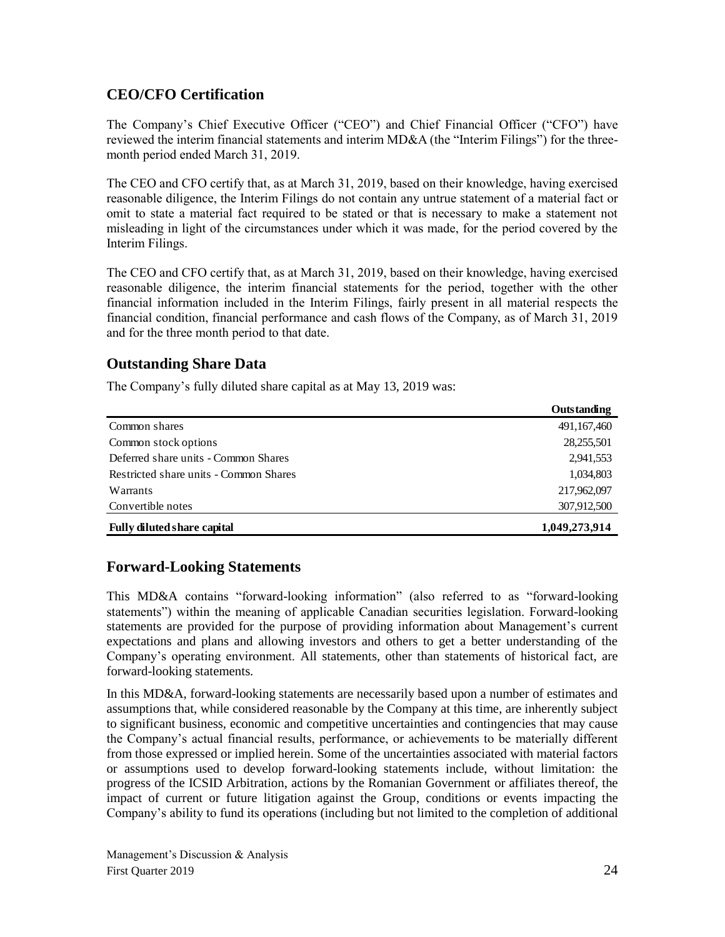# **CEO/CFO Certification**

The Company's Chief Executive Officer ("CEO") and Chief Financial Officer ("CFO") have reviewed the interim financial statements and interim MD&A (the "Interim Filings") for the threemonth period ended March 31, 2019.

The CEO and CFO certify that, as at March 31, 2019, based on their knowledge, having exercised reasonable diligence, the Interim Filings do not contain any untrue statement of a material fact or omit to state a material fact required to be stated or that is necessary to make a statement not misleading in light of the circumstances under which it was made, for the period covered by the Interim Filings.

The CEO and CFO certify that, as at March 31, 2019, based on their knowledge, having exercised reasonable diligence, the interim financial statements for the period, together with the other financial information included in the Interim Filings, fairly present in all material respects the financial condition, financial performance and cash flows of the Company, as of March 31, 2019 and for the three month period to that date.

# **Outstanding Share Data**

The Company's fully diluted share capital as at May 13, 2019 was:

|                                        | Outstanding   |
|----------------------------------------|---------------|
| Common shares                          | 491,167,460   |
| Common stock options                   | 28,255,501    |
| Deferred share units - Common Shares   | 2,941,553     |
| Restricted share units - Common Shares | 1,034,803     |
| Warrants                               | 217,962,097   |
| Convertible notes                      | 307,912,500   |
| <b>Fully diluted share capital</b>     | 1,049,273,914 |

# **Forward-Looking Statements**

This MD&A contains "forward-looking information" (also referred to as "forward-looking statements") within the meaning of applicable Canadian securities legislation. Forward-looking statements are provided for the purpose of providing information about Management's current expectations and plans and allowing investors and others to get a better understanding of the Company's operating environment. All statements, other than statements of historical fact, are forward-looking statements.

In this MD&A, forward-looking statements are necessarily based upon a number of estimates and assumptions that, while considered reasonable by the Company at this time, are inherently subject to significant business, economic and competitive uncertainties and contingencies that may cause the Company's actual financial results, performance, or achievements to be materially different from those expressed or implied herein. Some of the uncertainties associated with material factors or assumptions used to develop forward-looking statements include, without limitation: the progress of the ICSID Arbitration, actions by the Romanian Government or affiliates thereof, the impact of current or future litigation against the Group, conditions or events impacting the Company's ability to fund its operations (including but not limited to the completion of additional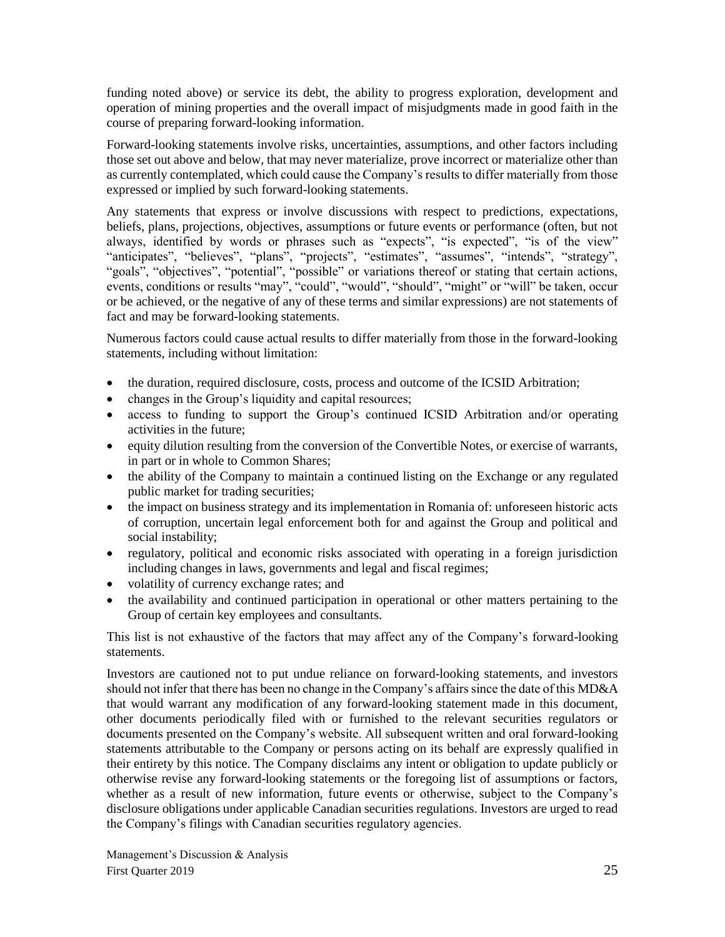funding noted above) or service its debt, the ability to progress exploration, development and operation of mining properties and the overall impact of misjudgments made in good faith in the course of preparing forward-looking information.

Forward-looking statements involve risks, uncertainties, assumptions, and other factors including those set out above and below, that may never materialize, prove incorrect or materialize other than as currently contemplated, which could cause the Company's results to differ materially from those expressed or implied by such forward-looking statements.

Any statements that express or involve discussions with respect to predictions, expectations, beliefs, plans, projections, objectives, assumptions or future events or performance (often, but not always, identified by words or phrases such as "expects", "is expected", "is of the view" "anticipates", "believes", "plans", "projects", "estimates", "assumes", "intends", "strategy", "goals", "objectives", "potential", "possible" or variations thereof or stating that certain actions, events, conditions or results "may", "could", "would", "should", "might" or "will" be taken, occur or be achieved, or the negative of any of these terms and similar expressions) are not statements of fact and may be forward-looking statements.

Numerous factors could cause actual results to differ materially from those in the forward-looking statements, including without limitation:

- the duration, required disclosure, costs, process and outcome of the ICSID Arbitration;
- changes in the Group's liquidity and capital resources;
- access to funding to support the Group's continued ICSID Arbitration and/or operating activities in the future;
- equity dilution resulting from the conversion of the Convertible Notes, or exercise of warrants, in part or in whole to Common Shares;
- the ability of the Company to maintain a continued listing on the Exchange or any regulated public market for trading securities;
- the impact on business strategy and its implementation in Romania of: unforeseen historic acts of corruption, uncertain legal enforcement both for and against the Group and political and social instability;
- regulatory, political and economic risks associated with operating in a foreign jurisdiction including changes in laws, governments and legal and fiscal regimes;
- volatility of currency exchange rates; and
- the availability and continued participation in operational or other matters pertaining to the Group of certain key employees and consultants.

This list is not exhaustive of the factors that may affect any of the Company's forward-looking statements.

Investors are cautioned not to put undue reliance on forward-looking statements, and investors should not infer that there has been no change in the Company's affairs since the date of this MD&A that would warrant any modification of any forward-looking statement made in this document, other documents periodically filed with or furnished to the relevant securities regulators or documents presented on the Company's website. All subsequent written and oral forward-looking statements attributable to the Company or persons acting on its behalf are expressly qualified in their entirety by this notice. The Company disclaims any intent or obligation to update publicly or otherwise revise any forward-looking statements or the foregoing list of assumptions or factors, whether as a result of new information, future events or otherwise, subject to the Company's disclosure obligations under applicable Canadian securities regulations. Investors are urged to read the Company's filings with Canadian securities regulatory agencies.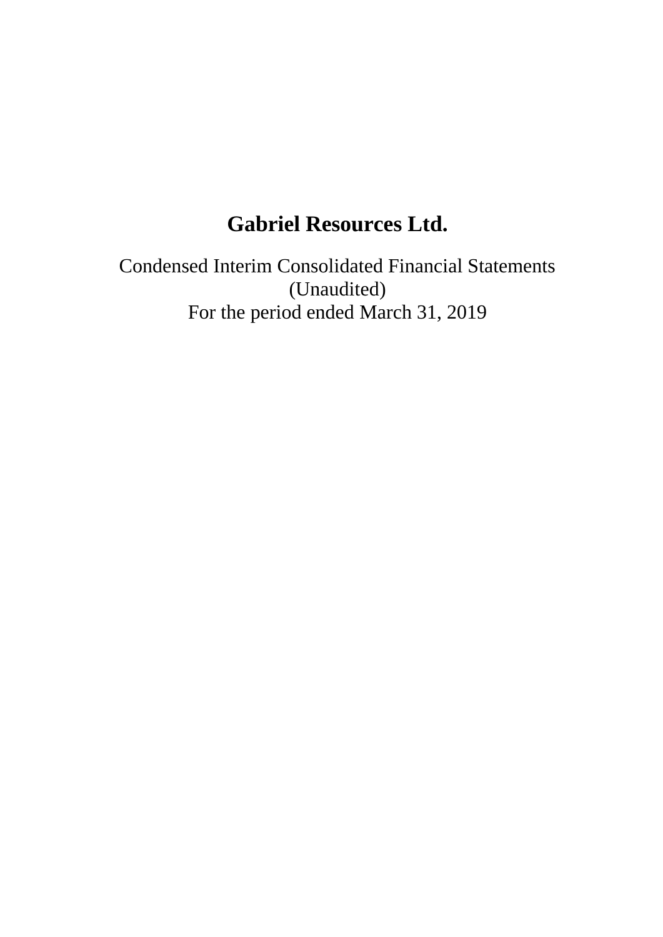# **Gabriel Resources Ltd.**

Condensed Interim Consolidated Financial Statements (Unaudited) For the period ended March 31, 2019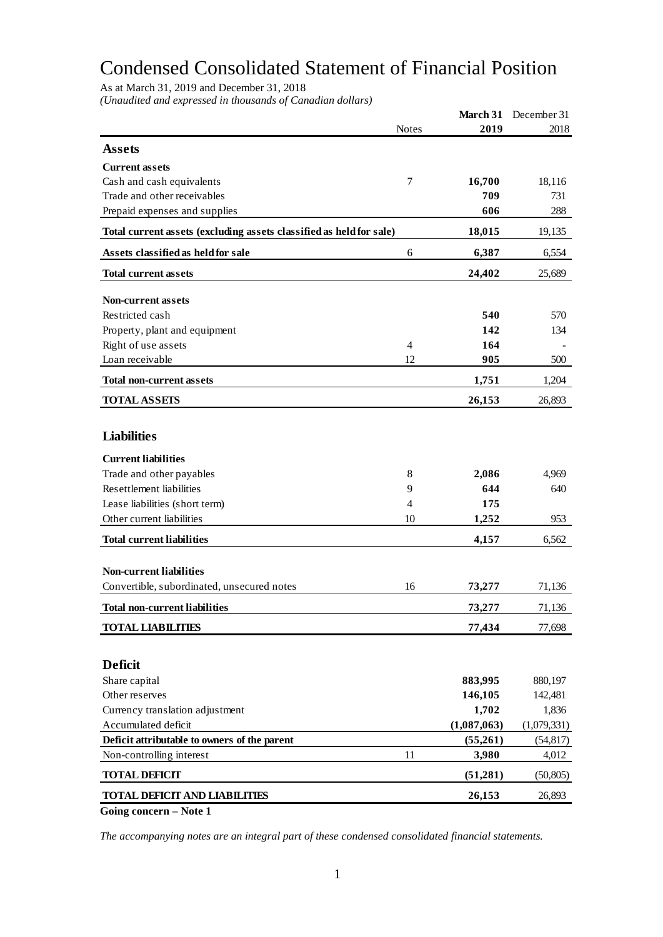# Condensed Consolidated Statement of Financial Position

As at March 31, 2019 and December 31, 2018

*(Unaudited and expressed in thousands of Canadian dollars)*

| <b>Notes</b><br>2019<br>2018<br><b>Assets</b><br><b>Current assets</b><br>Cash and cash equivalents<br>7<br>16,700<br>18,116<br>Trade and other receivables<br>709<br>731<br>606<br>288<br>Prepaid expenses and supplies<br>Total current assets (excluding assets classified as held for sale)<br>18,015<br>19,135<br>Assets classified as held for sale<br>6,387<br>6<br>6,554<br>24,402<br><b>Total current assets</b><br>25,689<br><b>Non-current assets</b><br>Restricted cash<br>540<br>570<br>142<br>Property, plant and equipment<br>134<br>Right of use assets<br>$\overline{4}$<br>164<br>Loan receivable<br>12<br>905<br>500<br>1,751<br>1,204<br><b>Total non-current assets</b><br><b>TOTAL ASSETS</b><br>26,153<br>26,893<br><b>Liabilities</b><br><b>Current liabilities</b><br>Trade and other payables<br>8<br>2,086<br>4,969<br><b>Resettlement liabilities</b><br>9<br>644<br>640<br>Lease liabilities (short term)<br>$\overline{4}$<br>175<br>Other current liabilities<br>10<br>1,252<br>953<br><b>Total current liabilities</b><br>6,562<br>4,157<br><b>Non-current liabilities</b><br>Convertible, subordinated, unsecured notes<br>16<br>73,277<br>71,136<br><b>Total non-current liabilities</b><br>73,277<br>71,136<br><b>TOTAL LIABILITIES</b><br>77,434<br>77,698<br><b>Deficit</b><br>Share capital<br>883,995<br>880,197<br>Other reserves<br>146,105<br>142,481<br>1,702<br>Currency translation adjustment<br>1,836<br>Accumulated deficit<br>(1,087,063)<br>(1,079,331)<br>Deficit attributable to owners of the parent<br>(55,261)<br>(54, 817)<br>11<br>Non-controlling interest<br>3,980<br>4,012<br><b>TOTAL DEFICIT</b><br>(51,281)<br>(50, 805)<br><b>TOTAL DEFICIT AND LIABILITIES</b><br>26,153<br>26,893<br>Going concern - Note 1 |  | March 31 | December 31 |
|-------------------------------------------------------------------------------------------------------------------------------------------------------------------------------------------------------------------------------------------------------------------------------------------------------------------------------------------------------------------------------------------------------------------------------------------------------------------------------------------------------------------------------------------------------------------------------------------------------------------------------------------------------------------------------------------------------------------------------------------------------------------------------------------------------------------------------------------------------------------------------------------------------------------------------------------------------------------------------------------------------------------------------------------------------------------------------------------------------------------------------------------------------------------------------------------------------------------------------------------------------------------------------------------------------------------------------------------------------------------------------------------------------------------------------------------------------------------------------------------------------------------------------------------------------------------------------------------------------------------------------------------------------------------------------------------------------------------------------------------------------------------------------|--|----------|-------------|
|                                                                                                                                                                                                                                                                                                                                                                                                                                                                                                                                                                                                                                                                                                                                                                                                                                                                                                                                                                                                                                                                                                                                                                                                                                                                                                                                                                                                                                                                                                                                                                                                                                                                                                                                                                               |  |          |             |
|                                                                                                                                                                                                                                                                                                                                                                                                                                                                                                                                                                                                                                                                                                                                                                                                                                                                                                                                                                                                                                                                                                                                                                                                                                                                                                                                                                                                                                                                                                                                                                                                                                                                                                                                                                               |  |          |             |
|                                                                                                                                                                                                                                                                                                                                                                                                                                                                                                                                                                                                                                                                                                                                                                                                                                                                                                                                                                                                                                                                                                                                                                                                                                                                                                                                                                                                                                                                                                                                                                                                                                                                                                                                                                               |  |          |             |
|                                                                                                                                                                                                                                                                                                                                                                                                                                                                                                                                                                                                                                                                                                                                                                                                                                                                                                                                                                                                                                                                                                                                                                                                                                                                                                                                                                                                                                                                                                                                                                                                                                                                                                                                                                               |  |          |             |
|                                                                                                                                                                                                                                                                                                                                                                                                                                                                                                                                                                                                                                                                                                                                                                                                                                                                                                                                                                                                                                                                                                                                                                                                                                                                                                                                                                                                                                                                                                                                                                                                                                                                                                                                                                               |  |          |             |
|                                                                                                                                                                                                                                                                                                                                                                                                                                                                                                                                                                                                                                                                                                                                                                                                                                                                                                                                                                                                                                                                                                                                                                                                                                                                                                                                                                                                                                                                                                                                                                                                                                                                                                                                                                               |  |          |             |
|                                                                                                                                                                                                                                                                                                                                                                                                                                                                                                                                                                                                                                                                                                                                                                                                                                                                                                                                                                                                                                                                                                                                                                                                                                                                                                                                                                                                                                                                                                                                                                                                                                                                                                                                                                               |  |          |             |
|                                                                                                                                                                                                                                                                                                                                                                                                                                                                                                                                                                                                                                                                                                                                                                                                                                                                                                                                                                                                                                                                                                                                                                                                                                                                                                                                                                                                                                                                                                                                                                                                                                                                                                                                                                               |  |          |             |
|                                                                                                                                                                                                                                                                                                                                                                                                                                                                                                                                                                                                                                                                                                                                                                                                                                                                                                                                                                                                                                                                                                                                                                                                                                                                                                                                                                                                                                                                                                                                                                                                                                                                                                                                                                               |  |          |             |
|                                                                                                                                                                                                                                                                                                                                                                                                                                                                                                                                                                                                                                                                                                                                                                                                                                                                                                                                                                                                                                                                                                                                                                                                                                                                                                                                                                                                                                                                                                                                                                                                                                                                                                                                                                               |  |          |             |
|                                                                                                                                                                                                                                                                                                                                                                                                                                                                                                                                                                                                                                                                                                                                                                                                                                                                                                                                                                                                                                                                                                                                                                                                                                                                                                                                                                                                                                                                                                                                                                                                                                                                                                                                                                               |  |          |             |
|                                                                                                                                                                                                                                                                                                                                                                                                                                                                                                                                                                                                                                                                                                                                                                                                                                                                                                                                                                                                                                                                                                                                                                                                                                                                                                                                                                                                                                                                                                                                                                                                                                                                                                                                                                               |  |          |             |
|                                                                                                                                                                                                                                                                                                                                                                                                                                                                                                                                                                                                                                                                                                                                                                                                                                                                                                                                                                                                                                                                                                                                                                                                                                                                                                                                                                                                                                                                                                                                                                                                                                                                                                                                                                               |  |          |             |
|                                                                                                                                                                                                                                                                                                                                                                                                                                                                                                                                                                                                                                                                                                                                                                                                                                                                                                                                                                                                                                                                                                                                                                                                                                                                                                                                                                                                                                                                                                                                                                                                                                                                                                                                                                               |  |          |             |
|                                                                                                                                                                                                                                                                                                                                                                                                                                                                                                                                                                                                                                                                                                                                                                                                                                                                                                                                                                                                                                                                                                                                                                                                                                                                                                                                                                                                                                                                                                                                                                                                                                                                                                                                                                               |  |          |             |
|                                                                                                                                                                                                                                                                                                                                                                                                                                                                                                                                                                                                                                                                                                                                                                                                                                                                                                                                                                                                                                                                                                                                                                                                                                                                                                                                                                                                                                                                                                                                                                                                                                                                                                                                                                               |  |          |             |
|                                                                                                                                                                                                                                                                                                                                                                                                                                                                                                                                                                                                                                                                                                                                                                                                                                                                                                                                                                                                                                                                                                                                                                                                                                                                                                                                                                                                                                                                                                                                                                                                                                                                                                                                                                               |  |          |             |
|                                                                                                                                                                                                                                                                                                                                                                                                                                                                                                                                                                                                                                                                                                                                                                                                                                                                                                                                                                                                                                                                                                                                                                                                                                                                                                                                                                                                                                                                                                                                                                                                                                                                                                                                                                               |  |          |             |
|                                                                                                                                                                                                                                                                                                                                                                                                                                                                                                                                                                                                                                                                                                                                                                                                                                                                                                                                                                                                                                                                                                                                                                                                                                                                                                                                                                                                                                                                                                                                                                                                                                                                                                                                                                               |  |          |             |
|                                                                                                                                                                                                                                                                                                                                                                                                                                                                                                                                                                                                                                                                                                                                                                                                                                                                                                                                                                                                                                                                                                                                                                                                                                                                                                                                                                                                                                                                                                                                                                                                                                                                                                                                                                               |  |          |             |
|                                                                                                                                                                                                                                                                                                                                                                                                                                                                                                                                                                                                                                                                                                                                                                                                                                                                                                                                                                                                                                                                                                                                                                                                                                                                                                                                                                                                                                                                                                                                                                                                                                                                                                                                                                               |  |          |             |
|                                                                                                                                                                                                                                                                                                                                                                                                                                                                                                                                                                                                                                                                                                                                                                                                                                                                                                                                                                                                                                                                                                                                                                                                                                                                                                                                                                                                                                                                                                                                                                                                                                                                                                                                                                               |  |          |             |
|                                                                                                                                                                                                                                                                                                                                                                                                                                                                                                                                                                                                                                                                                                                                                                                                                                                                                                                                                                                                                                                                                                                                                                                                                                                                                                                                                                                                                                                                                                                                                                                                                                                                                                                                                                               |  |          |             |
|                                                                                                                                                                                                                                                                                                                                                                                                                                                                                                                                                                                                                                                                                                                                                                                                                                                                                                                                                                                                                                                                                                                                                                                                                                                                                                                                                                                                                                                                                                                                                                                                                                                                                                                                                                               |  |          |             |
|                                                                                                                                                                                                                                                                                                                                                                                                                                                                                                                                                                                                                                                                                                                                                                                                                                                                                                                                                                                                                                                                                                                                                                                                                                                                                                                                                                                                                                                                                                                                                                                                                                                                                                                                                                               |  |          |             |
|                                                                                                                                                                                                                                                                                                                                                                                                                                                                                                                                                                                                                                                                                                                                                                                                                                                                                                                                                                                                                                                                                                                                                                                                                                                                                                                                                                                                                                                                                                                                                                                                                                                                                                                                                                               |  |          |             |
|                                                                                                                                                                                                                                                                                                                                                                                                                                                                                                                                                                                                                                                                                                                                                                                                                                                                                                                                                                                                                                                                                                                                                                                                                                                                                                                                                                                                                                                                                                                                                                                                                                                                                                                                                                               |  |          |             |
|                                                                                                                                                                                                                                                                                                                                                                                                                                                                                                                                                                                                                                                                                                                                                                                                                                                                                                                                                                                                                                                                                                                                                                                                                                                                                                                                                                                                                                                                                                                                                                                                                                                                                                                                                                               |  |          |             |
|                                                                                                                                                                                                                                                                                                                                                                                                                                                                                                                                                                                                                                                                                                                                                                                                                                                                                                                                                                                                                                                                                                                                                                                                                                                                                                                                                                                                                                                                                                                                                                                                                                                                                                                                                                               |  |          |             |
|                                                                                                                                                                                                                                                                                                                                                                                                                                                                                                                                                                                                                                                                                                                                                                                                                                                                                                                                                                                                                                                                                                                                                                                                                                                                                                                                                                                                                                                                                                                                                                                                                                                                                                                                                                               |  |          |             |
|                                                                                                                                                                                                                                                                                                                                                                                                                                                                                                                                                                                                                                                                                                                                                                                                                                                                                                                                                                                                                                                                                                                                                                                                                                                                                                                                                                                                                                                                                                                                                                                                                                                                                                                                                                               |  |          |             |
|                                                                                                                                                                                                                                                                                                                                                                                                                                                                                                                                                                                                                                                                                                                                                                                                                                                                                                                                                                                                                                                                                                                                                                                                                                                                                                                                                                                                                                                                                                                                                                                                                                                                                                                                                                               |  |          |             |
|                                                                                                                                                                                                                                                                                                                                                                                                                                                                                                                                                                                                                                                                                                                                                                                                                                                                                                                                                                                                                                                                                                                                                                                                                                                                                                                                                                                                                                                                                                                                                                                                                                                                                                                                                                               |  |          |             |
|                                                                                                                                                                                                                                                                                                                                                                                                                                                                                                                                                                                                                                                                                                                                                                                                                                                                                                                                                                                                                                                                                                                                                                                                                                                                                                                                                                                                                                                                                                                                                                                                                                                                                                                                                                               |  |          |             |
|                                                                                                                                                                                                                                                                                                                                                                                                                                                                                                                                                                                                                                                                                                                                                                                                                                                                                                                                                                                                                                                                                                                                                                                                                                                                                                                                                                                                                                                                                                                                                                                                                                                                                                                                                                               |  |          |             |
|                                                                                                                                                                                                                                                                                                                                                                                                                                                                                                                                                                                                                                                                                                                                                                                                                                                                                                                                                                                                                                                                                                                                                                                                                                                                                                                                                                                                                                                                                                                                                                                                                                                                                                                                                                               |  |          |             |
|                                                                                                                                                                                                                                                                                                                                                                                                                                                                                                                                                                                                                                                                                                                                                                                                                                                                                                                                                                                                                                                                                                                                                                                                                                                                                                                                                                                                                                                                                                                                                                                                                                                                                                                                                                               |  |          |             |
|                                                                                                                                                                                                                                                                                                                                                                                                                                                                                                                                                                                                                                                                                                                                                                                                                                                                                                                                                                                                                                                                                                                                                                                                                                                                                                                                                                                                                                                                                                                                                                                                                                                                                                                                                                               |  |          |             |
|                                                                                                                                                                                                                                                                                                                                                                                                                                                                                                                                                                                                                                                                                                                                                                                                                                                                                                                                                                                                                                                                                                                                                                                                                                                                                                                                                                                                                                                                                                                                                                                                                                                                                                                                                                               |  |          |             |
|                                                                                                                                                                                                                                                                                                                                                                                                                                                                                                                                                                                                                                                                                                                                                                                                                                                                                                                                                                                                                                                                                                                                                                                                                                                                                                                                                                                                                                                                                                                                                                                                                                                                                                                                                                               |  |          |             |
|                                                                                                                                                                                                                                                                                                                                                                                                                                                                                                                                                                                                                                                                                                                                                                                                                                                                                                                                                                                                                                                                                                                                                                                                                                                                                                                                                                                                                                                                                                                                                                                                                                                                                                                                                                               |  |          |             |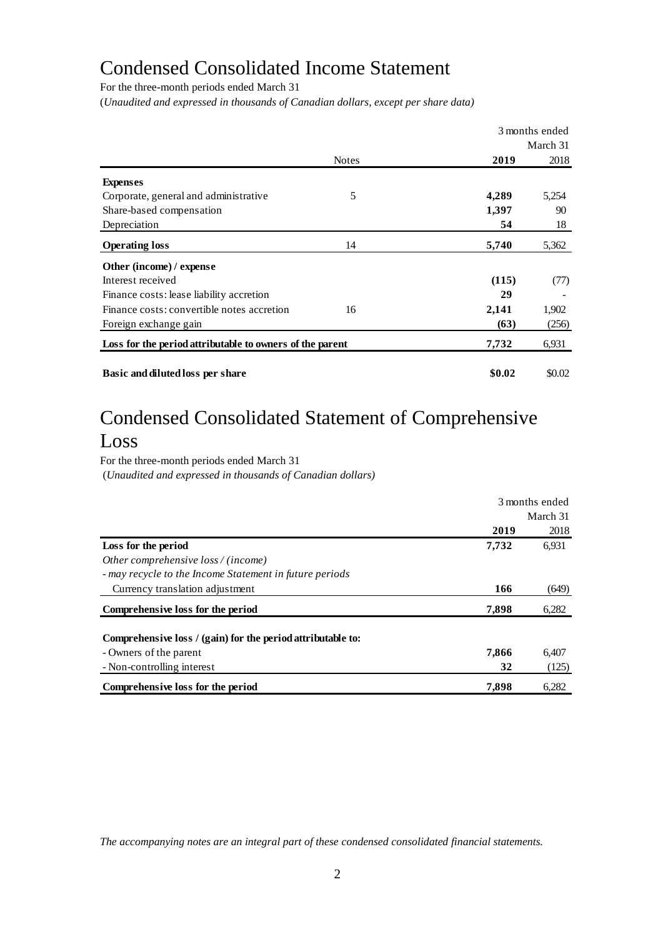# Condensed Consolidated Income Statement

For the three-month periods ended March 31

(*Unaudited and expressed in thousands of Canadian dollars, except per share data)*

|                                                          |              |        | 3 months ended |
|----------------------------------------------------------|--------------|--------|----------------|
|                                                          |              |        | March 31       |
|                                                          | <b>Notes</b> | 2019   | 2018           |
| <b>Expenses</b>                                          |              |        |                |
| Corporate, general and administrative                    | 5            | 4,289  | 5,254          |
| Share-based compensation                                 |              | 1,397  | 90             |
| Depreciation                                             |              | 54     | 18             |
| <b>Operating loss</b>                                    | 14           | 5,740  | 5,362          |
| Other (income) / expense                                 |              |        |                |
| Interest received                                        |              | (115)  | (77)           |
| Finance costs: lease liability accretion                 |              | 29     |                |
| Finance costs: convertible notes accretion               | 16           | 2,141  | 1,902          |
| Foreign exchange gain                                    |              | (63)   | (256)          |
| Loss for the period attributable to owners of the parent |              | 7,732  | 6,931          |
| <b>Basic and diluted loss per share</b>                  |              | \$0.02 | \$0.02         |

# Condensed Consolidated Statement of Comprehensive

# Loss

For the three-month periods ended March 31 (*Unaudited and expressed in thousands of Canadian dollars)*

|                                                             | 3 months ended |          |
|-------------------------------------------------------------|----------------|----------|
|                                                             |                | March 31 |
|                                                             | 2019           | 2018     |
| Loss for the period                                         | 7,732          | 6,931    |
| Other comprehensive loss / (income)                         |                |          |
| - may recycle to the Income Statement in future periods     |                |          |
| Currency translation adjustment                             | 166            | (649)    |
| Comprehensive loss for the period                           | 7,898          | 6,282    |
| Comprehensive loss / (gain) for the period attributable to: |                |          |
| - Owners of the parent                                      | 7,866          | 6,407    |
| - Non-controlling interest                                  | 32             | (125)    |
| Comprehensive loss for the period                           | 7,898          | 6.282    |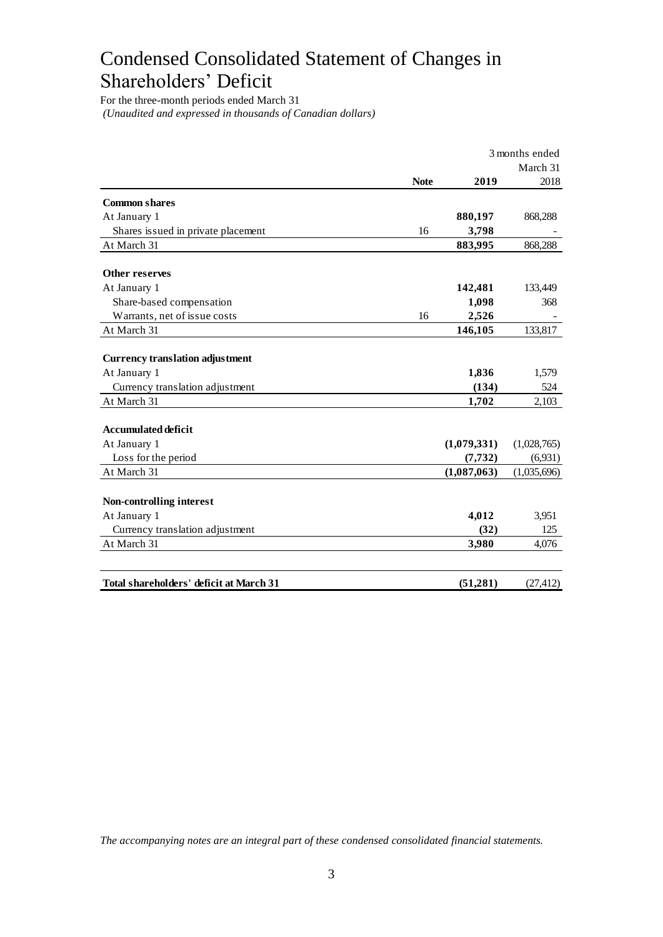# Condensed Consolidated Statement of Changes in Shareholders' Deficit

For the three-month periods ended March 31 *(Unaudited and expressed in thousands of Canadian dollars)*

|                                                          |             |                | 3 months ended |
|----------------------------------------------------------|-------------|----------------|----------------|
|                                                          |             |                | March 31       |
|                                                          | <b>Note</b> | 2019           | 2018           |
| <b>Common shares</b>                                     |             |                |                |
| At January 1                                             |             | 880,197        | 868,288        |
| Shares issued in private placement                       | 16          | 3,798          |                |
| At March 31                                              |             | 883,995        | 868,288        |
| Other reserves                                           |             |                |                |
|                                                          |             |                |                |
| At January 1                                             |             | 142,481        | 133,449<br>368 |
| Share-based compensation<br>Warrants, net of issue costs | 16          | 1,098<br>2,526 |                |
| At March 31                                              |             | 146,105        | 133,817        |
|                                                          |             |                |                |
| <b>Currency translation adjustment</b>                   |             |                |                |
| At January 1                                             |             | 1,836          | 1,579          |
| Currency translation adjustment                          |             | (134)          | 524            |
| At March 31                                              |             | 1,702          | 2,103          |
| <b>Accumulated deficit</b>                               |             |                |                |
| At January 1                                             |             | (1,079,331)    | (1,028,765)    |
| Loss for the period                                      |             | (7, 732)       | (6,931)        |
| At March 31                                              |             | (1,087,063)    | (1,035,696)    |
|                                                          |             |                |                |
| Non-controlling interest                                 |             |                |                |
| At January 1                                             |             | 4,012          | 3,951          |
| Currency translation adjustment                          |             | (32)           | 125            |
| At March 31                                              |             | 3,980          | 4,076          |
|                                                          |             |                |                |
| Total shareholders' deficit at March 31                  |             | (51,281)       | (27, 412)      |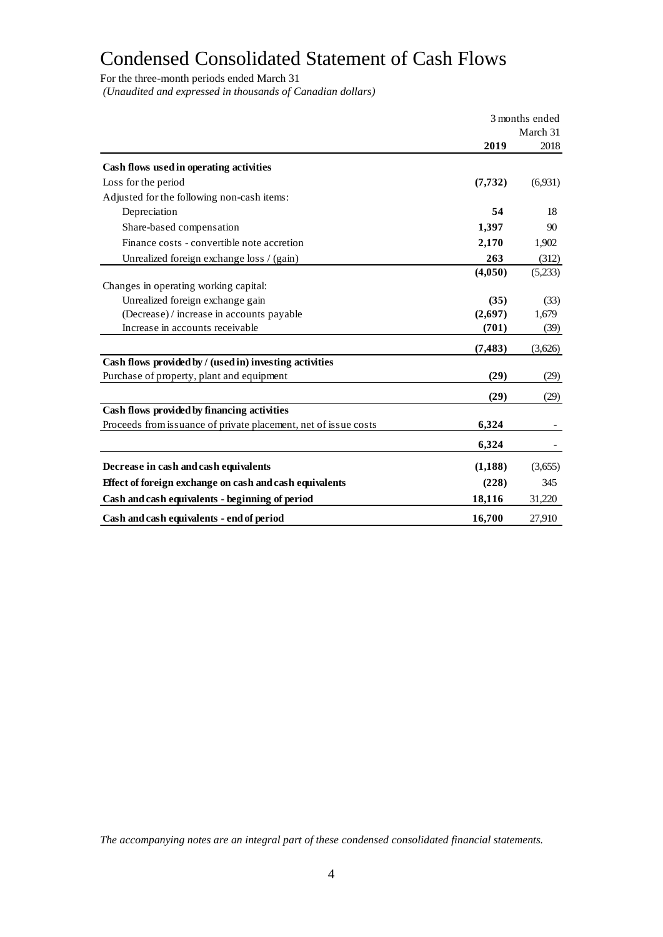# Condensed Consolidated Statement of Cash Flows

For the three-month periods ended March 31

*(Unaudited and expressed in thousands of Canadian dollars)*

|                                                                 | 3 months ended |          |
|-----------------------------------------------------------------|----------------|----------|
|                                                                 |                | March 31 |
|                                                                 | 2019           | 2018     |
| Cash flows used in operating activities                         |                |          |
| Loss for the period                                             | (7, 732)       | (6,931)  |
| Adjusted for the following non-cash items:                      |                |          |
| Depreciation                                                    | 54             | 18       |
| Share-based compensation                                        | 1,397          | 90       |
| Finance costs - convertible note accretion                      | 2,170          | 1,902    |
| Unrealized foreign exchange loss / (gain)                       | 263            | (312)    |
|                                                                 | (4,050)        | (5,233)  |
| Changes in operating working capital:                           |                |          |
| Unrealized foreign exchange gain                                | (35)           | (33)     |
| (Decrease) / increase in accounts payable                       | (2,697)        | 1,679    |
| Increase in accounts receivable                                 | (701)          | (39)     |
|                                                                 | (7, 483)       | (3,626)  |
| Cash flows provided by / (used in) investing activities         |                |          |
| Purchase of property, plant and equipment                       | (29)           | (29)     |
|                                                                 | (29)           | (29)     |
| Cash flows provided by financing activities                     |                |          |
| Proceeds from issuance of private placement, net of issue costs | 6,324          |          |
|                                                                 | 6,324          |          |
| Decrease in cash and cash equivalents                           | (1,188)        | (3,655)  |
| Effect of foreign exchange on cash and cash equivalents         | (228)          | 345      |
| Cash and cash equivalents - beginning of period                 | 18,116         | 31,220   |
| Cash and cash equivalents - end of period                       | 16,700         | 27.910   |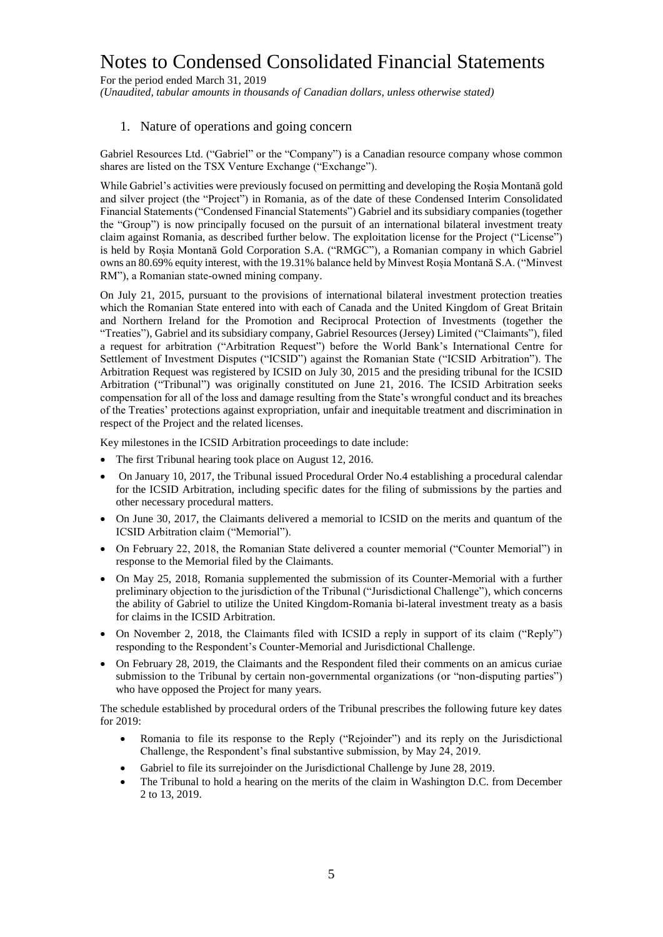For the period ended March 31, 2019 *(Unaudited, tabular amounts in thousands of Canadian dollars, unless otherwise stated)*

#### 1. Nature of operations and going concern

Gabriel Resources Ltd. ("Gabriel" or the "Company") is a Canadian resource company whose common shares are listed on the TSX Venture Exchange ("Exchange").

While Gabriel's activities were previously focused on permitting and developing the Roșia Montană gold and silver project (the "Project") in Romania, as of the date of these Condensed Interim Consolidated Financial Statements ("Condensed Financial Statements") Gabriel and its subsidiary companies (together the "Group") is now principally focused on the pursuit of an international bilateral investment treaty claim against Romania, as described further below. The exploitation license for the Project ("License") is held by Roșia Montană Gold Corporation S.A. ("RMGC"), a Romanian company in which Gabriel owns an 80.69% equity interest, with the 19.31% balance held by Minvest Roșia Montană S.A. ("Minvest RM"), a Romanian state-owned mining company.

On July 21, 2015, pursuant to the provisions of international bilateral investment protection treaties which the Romanian State entered into with each of Canada and the United Kingdom of Great Britain and Northern Ireland for the Promotion and Reciprocal Protection of Investments (together the "Treaties"), Gabriel and its subsidiary company, Gabriel Resources (Jersey) Limited ("Claimants"), filed a request for arbitration ("Arbitration Request") before the World Bank's International Centre for Settlement of Investment Disputes ("ICSID") against the Romanian State ("ICSID Arbitration"). The Arbitration Request was registered by ICSID on July 30, 2015 and the presiding tribunal for the ICSID Arbitration ("Tribunal") was originally constituted on June 21, 2016. The ICSID Arbitration seeks compensation for all of the loss and damage resulting from the State's wrongful conduct and its breaches of the Treaties' protections against expropriation, unfair and inequitable treatment and discrimination in respect of the Project and the related licenses.

Key milestones in the ICSID Arbitration proceedings to date include:

- The first Tribunal hearing took place on August 12, 2016.
- On January 10, 2017, the Tribunal issued Procedural Order No.4 establishing a procedural calendar for the ICSID Arbitration, including specific dates for the filing of submissions by the parties and other necessary procedural matters.
- On June 30, 2017, the Claimants delivered a memorial to ICSID on the merits and quantum of the ICSID Arbitration claim ("Memorial").
- On February 22, 2018, the Romanian State delivered a counter memorial ("Counter Memorial") in response to the Memorial filed by the Claimants.
- On May 25, 2018, Romania supplemented the submission of its Counter-Memorial with a further preliminary objection to the jurisdiction of the Tribunal ("Jurisdictional Challenge"), which concerns the ability of Gabriel to utilize the United Kingdom-Romania bi-lateral investment treaty as a basis for claims in the ICSID Arbitration.
- On November 2, 2018, the Claimants filed with ICSID a reply in support of its claim ("Reply") responding to the Respondent's Counter-Memorial and Jurisdictional Challenge.
- On February 28, 2019, the Claimants and the Respondent filed their comments on an amicus curiae submission to the Tribunal by certain non-governmental organizations (or "non-disputing parties") who have opposed the Project for many years.

The schedule established by procedural orders of the Tribunal prescribes the following future key dates for 2019:

- Romania to file its response to the Reply ("Rejoinder") and its reply on the Jurisdictional Challenge, the Respondent's final substantive submission, by May 24, 2019.
- Gabriel to file its surrejoinder on the Jurisdictional Challenge by June 28, 2019.
- The Tribunal to hold a hearing on the merits of the claim in Washington D.C. from December 2 to 13, 2019.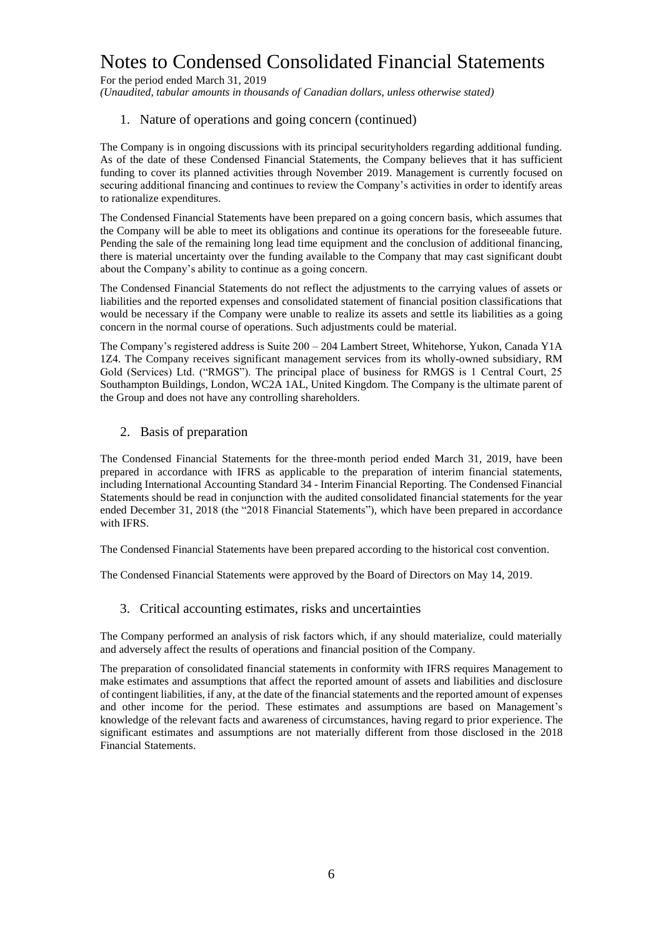For the period ended March 31, 2019

*(Unaudited, tabular amounts in thousands of Canadian dollars, unless otherwise stated)*

#### 1. Nature of operations and going concern (continued)

The Company is in ongoing discussions with its principal securityholders regarding additional funding. As of the date of these Condensed Financial Statements, the Company believes that it has sufficient funding to cover its planned activities through November 2019. Management is currently focused on securing additional financing and continues to review the Company's activities in order to identify areas to rationalize expenditures.

The Condensed Financial Statements have been prepared on a going concern basis, which assumes that the Company will be able to meet its obligations and continue its operations for the foreseeable future. Pending the sale of the remaining long lead time equipment and the conclusion of additional financing, there is material uncertainty over the funding available to the Company that may cast significant doubt about the Company's ability to continue as a going concern.

The Condensed Financial Statements do not reflect the adjustments to the carrying values of assets or liabilities and the reported expenses and consolidated statement of financial position classifications that would be necessary if the Company were unable to realize its assets and settle its liabilities as a going concern in the normal course of operations. Such adjustments could be material.

The Company's registered address is Suite 200 – 204 Lambert Street, Whitehorse, Yukon, Canada Y1A 1Z4. The Company receives significant management services from its wholly-owned subsidiary, RM Gold (Services) Ltd. ("RMGS"). The principal place of business for RMGS is 1 Central Court, 25 Southampton Buildings, London, WC2A 1AL, United Kingdom. The Company is the ultimate parent of the Group and does not have any controlling shareholders.

#### 2. Basis of preparation

The Condensed Financial Statements for the three-month period ended March 31, 2019, have been prepared in accordance with IFRS as applicable to the preparation of interim financial statements, including International Accounting Standard 34 - Interim Financial Reporting. The Condensed Financial Statements should be read in conjunction with the audited consolidated financial statements for the year ended December 31, 2018 (the "2018 Financial Statements"), which have been prepared in accordance with IFRS.

The Condensed Financial Statements have been prepared according to the historical cost convention.

The Condensed Financial Statements were approved by the Board of Directors on May 14, 2019.

#### 3. Critical accounting estimates, risks and uncertainties

The Company performed an analysis of risk factors which, if any should materialize, could materially and adversely affect the results of operations and financial position of the Company.

The preparation of consolidated financial statements in conformity with IFRS requires Management to make estimates and assumptions that affect the reported amount of assets and liabilities and disclosure of contingent liabilities, if any, at the date of the financial statements and the reported amount of expenses and other income for the period. These estimates and assumptions are based on Management's knowledge of the relevant facts and awareness of circumstances, having regard to prior experience. The significant estimates and assumptions are not materially different from those disclosed in the 2018 Financial Statements.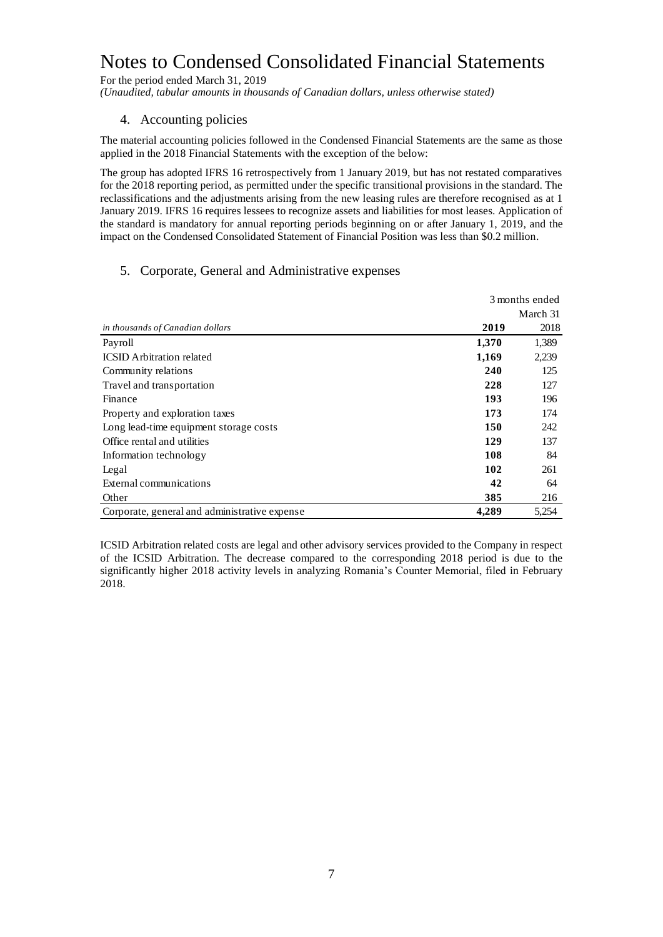For the period ended March 31, 2019

*(Unaudited, tabular amounts in thousands of Canadian dollars, unless otherwise stated)*

#### 4. Accounting policies

The material accounting policies followed in the Condensed Financial Statements are the same as those applied in the 2018 Financial Statements with the exception of the below:

The group has adopted IFRS 16 retrospectively from 1 January 2019, but has not restated comparatives for the 2018 reporting period, as permitted under the specific transitional provisions in the standard. The reclassifications and the adjustments arising from the new leasing rules are therefore recognised as at 1 January 2019. IFRS 16 requires lessees to recognize assets and liabilities for most leases. Application of the standard is mandatory for annual reporting periods beginning on or after January 1, 2019, and the impact on the Condensed Consolidated Statement of Financial Position was less than \$0.2 million.

#### 5. Corporate, General and Administrative expenses

|                                               |       | 3 months ended |
|-----------------------------------------------|-------|----------------|
|                                               |       | March 31       |
| in thousands of Canadian dollars              | 2019  | 2018           |
| Payroll                                       | 1,370 | 1,389          |
| <b>ICSID</b> Arbitration related              | 1,169 | 2,239          |
| Community relations                           | 240   | 125            |
| Travel and transportation                     | 228   | 127            |
| Finance                                       | 193   | 196            |
| Property and exploration taxes                | 173   | 174            |
| Long lead-time equipment storage costs        | 150   | 242            |
| Office rental and utilities                   | 129   | 137            |
| Information technology                        | 108   | 84             |
| Legal                                         | 102   | 261            |
| External communications                       | 42    | 64             |
| Other                                         | 385   | 216            |
| Corporate, general and administrative expense | 4.289 | 5,254          |

ICSID Arbitration related costs are legal and other advisory services provided to the Company in respect of the ICSID Arbitration. The decrease compared to the corresponding 2018 period is due to the significantly higher 2018 activity levels in analyzing Romania's Counter Memorial, filed in February 2018.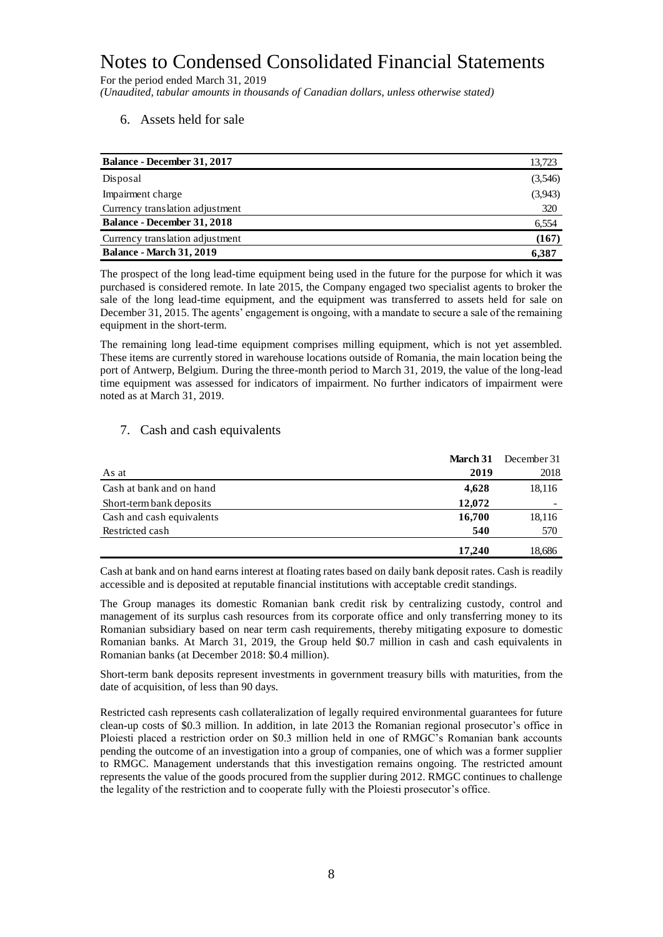For the period ended March 31, 2019

*(Unaudited, tabular amounts in thousands of Canadian dollars, unless otherwise stated)*

6. Assets held for sale

| <b>Balance - December 31, 2017</b> | 13,723  |
|------------------------------------|---------|
| Disposal                           | (3,546) |
| Impairment charge                  | (3,943) |
| Currency translation adjustment    | 320     |
| <b>Balance - December 31, 2018</b> | 6,554   |
| Currency translation adjustment    | (167)   |
| <b>Balance - March 31, 2019</b>    | 6,387   |

The prospect of the long lead-time equipment being used in the future for the purpose for which it was purchased is considered remote. In late 2015, the Company engaged two specialist agents to broker the sale of the long lead-time equipment, and the equipment was transferred to assets held for sale on December 31, 2015. The agents' engagement is ongoing, with a mandate to secure a sale of the remaining equipment in the short-term.

The remaining long lead-time equipment comprises milling equipment, which is not yet assembled. These items are currently stored in warehouse locations outside of Romania, the main location being the port of Antwerp, Belgium. During the three-month period to March 31, 2019, the value of the long-lead time equipment was assessed for indicators of impairment. No further indicators of impairment were noted as at March 31, 2019.

#### 7. Cash and cash equivalents

|                           | March 31 | December 31 |
|---------------------------|----------|-------------|
| As at                     | 2019     | 2018        |
| Cash at bank and on hand  | 4,628    | 18,116      |
| Short-term bank deposits  | 12,072   |             |
| Cash and cash equivalents | 16,700   | 18,116      |
| Restricted cash           | 540      | 570         |
|                           | 17.240   | 18,686      |

Cash at bank and on hand earns interest at floating rates based on daily bank deposit rates. Cash is readily accessible and is deposited at reputable financial institutions with acceptable credit standings.

The Group manages its domestic Romanian bank credit risk by centralizing custody, control and management of its surplus cash resources from its corporate office and only transferring money to its Romanian subsidiary based on near term cash requirements, thereby mitigating exposure to domestic Romanian banks. At March 31, 2019, the Group held \$0.7 million in cash and cash equivalents in Romanian banks (at December 2018: \$0.4 million).

Short-term bank deposits represent investments in government treasury bills with maturities, from the date of acquisition, of less than 90 days.

Restricted cash represents cash collateralization of legally required environmental guarantees for future clean-up costs of \$0.3 million. In addition, in late 2013 the Romanian regional prosecutor's office in Ploiesti placed a restriction order on \$0.3 million held in one of RMGC's Romanian bank accounts pending the outcome of an investigation into a group of companies, one of which was a former supplier to RMGC. Management understands that this investigation remains ongoing. The restricted amount represents the value of the goods procured from the supplier during 2012. RMGC continues to challenge the legality of the restriction and to cooperate fully with the Ploiesti prosecutor's office.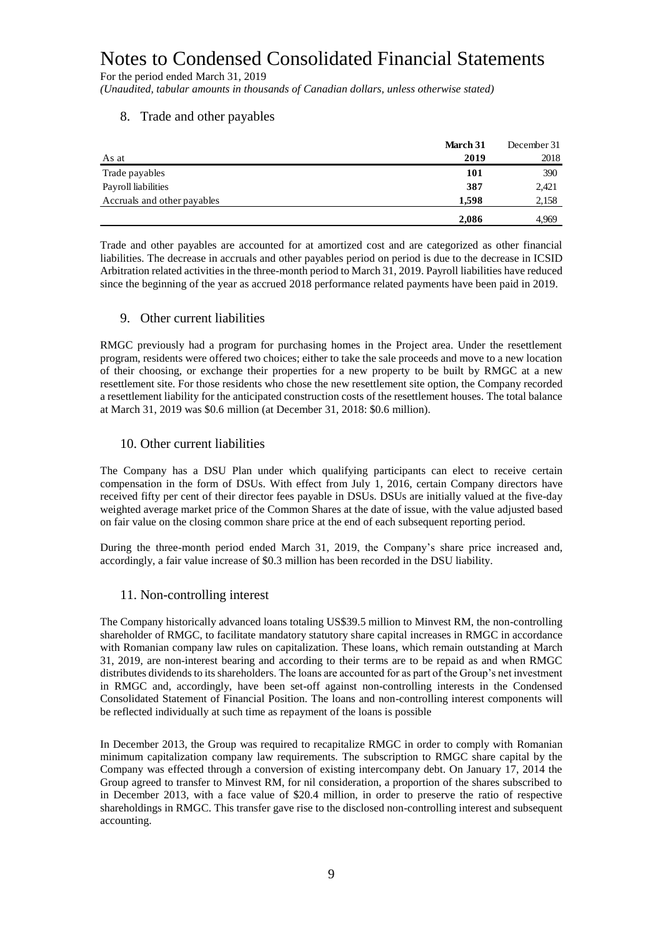For the period ended March 31, 2019

*(Unaudited, tabular amounts in thousands of Canadian dollars, unless otherwise stated)*

#### 8. Trade and other payables

|                             | March 31 | December 31 |
|-----------------------------|----------|-------------|
| As at                       | 2019     | 2018        |
| Trade payables              | 101      | 390         |
| Payroll liabilities         | 387      | 2,421       |
| Accruals and other payables | 1,598    | 2,158       |
|                             | 2,086    | 4.969       |

Trade and other payables are accounted for at amortized cost and are categorized as other financial liabilities. The decrease in accruals and other payables period on period is due to the decrease in ICSID Arbitration related activities in the three-month period to March 31, 2019. Payroll liabilities have reduced since the beginning of the year as accrued 2018 performance related payments have been paid in 2019.

#### 9. Other current liabilities

RMGC previously had a program for purchasing homes in the Project area. Under the resettlement program, residents were offered two choices; either to take the sale proceeds and move to a new location of their choosing, or exchange their properties for a new property to be built by RMGC at a new resettlement site. For those residents who chose the new resettlement site option, the Company recorded a resettlement liability for the anticipated construction costs of the resettlement houses. The total balance at March 31, 2019 was \$0.6 million (at December 31, 2018: \$0.6 million).

#### 10. Other current liabilities

The Company has a DSU Plan under which qualifying participants can elect to receive certain compensation in the form of DSUs. With effect from July 1, 2016, certain Company directors have received fifty per cent of their director fees payable in DSUs. DSUs are initially valued at the five-day weighted average market price of the Common Shares at the date of issue, with the value adjusted based on fair value on the closing common share price at the end of each subsequent reporting period.

During the three-month period ended March 31, 2019, the Company's share price increased and, accordingly, a fair value increase of \$0.3 million has been recorded in the DSU liability.

#### 11. Non-controlling interest

The Company historically advanced loans totaling US\$39.5 million to Minvest RM, the non-controlling shareholder of RMGC, to facilitate mandatory statutory share capital increases in RMGC in accordance with Romanian company law rules on capitalization. These loans, which remain outstanding at March 31, 2019, are non-interest bearing and according to their terms are to be repaid as and when RMGC distributes dividends to its shareholders. The loans are accounted for as part of the Group's net investment in RMGC and, accordingly, have been set-off against non-controlling interests in the Condensed Consolidated Statement of Financial Position. The loans and non-controlling interest components will be reflected individually at such time as repayment of the loans is possible

In December 2013, the Group was required to recapitalize RMGC in order to comply with Romanian minimum capitalization company law requirements. The subscription to RMGC share capital by the Company was effected through a conversion of existing intercompany debt. On January 17, 2014 the Group agreed to transfer to Minvest RM, for nil consideration, a proportion of the shares subscribed to in December 2013, with a face value of \$20.4 million, in order to preserve the ratio of respective shareholdings in RMGC. This transfer gave rise to the disclosed non-controlling interest and subsequent accounting.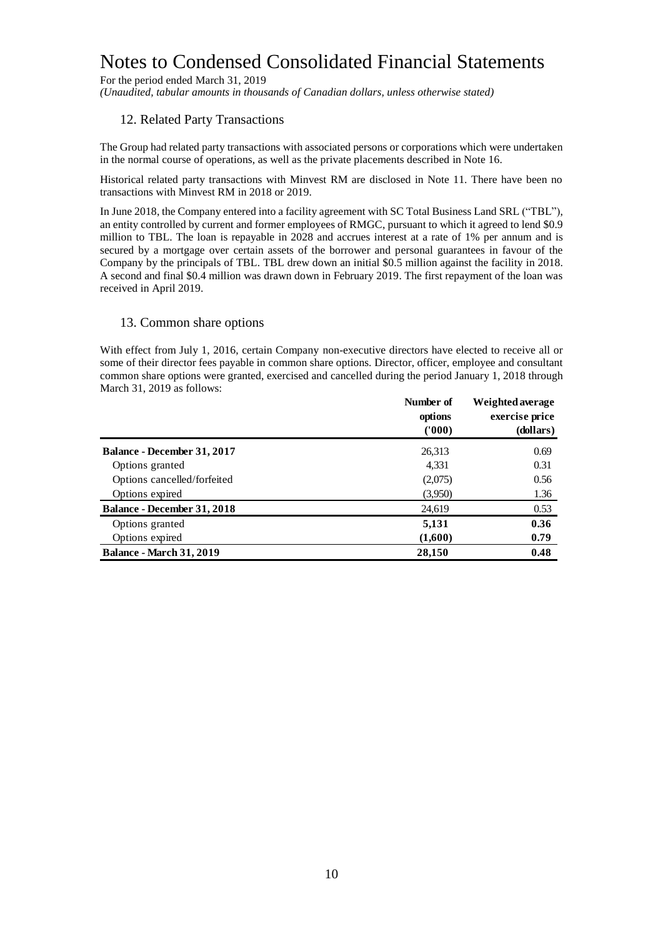For the period ended March 31, 2019

*(Unaudited, tabular amounts in thousands of Canadian dollars, unless otherwise stated)*

#### 12. Related Party Transactions

The Group had related party transactions with associated persons or corporations which were undertaken in the normal course of operations, as well as the private placements described in Note 16.

Historical related party transactions with Minvest RM are disclosed in Note 11. There have been no transactions with Minvest RM in 2018 or 2019.

In June 2018, the Company entered into a facility agreement with SC Total Business Land SRL ("TBL"), an entity controlled by current and former employees of RMGC, pursuant to which it agreed to lend \$0.9 million to TBL. The loan is repayable in 2028 and accrues interest at a rate of 1% per annum and is secured by a mortgage over certain assets of the borrower and personal guarantees in favour of the Company by the principals of TBL. TBL drew down an initial \$0.5 million against the facility in 2018. A second and final \$0.4 million was drawn down in February 2019. The first repayment of the loan was received in April 2019.

#### 13. Common share options

With effect from July 1, 2016, certain Company non-executive directors have elected to receive all or some of their director fees payable in common share options. Director, officer, employee and consultant common share options were granted, exercised and cancelled during the period January 1, 2018 through March 31, 2019 as follows:

|                                    | Number of<br>options<br>(1000) | Weighted average<br>exercise price<br>(dollars) |  |  |
|------------------------------------|--------------------------------|-------------------------------------------------|--|--|
| Balance - December 31, 2017        | 26,313                         | 0.69                                            |  |  |
| Options granted                    | 4.331                          | 0.31                                            |  |  |
| Options cancelled/forfeited        | (2,075)                        | 0.56                                            |  |  |
| Options expired                    | (3,950)                        | 1.36                                            |  |  |
| <b>Balance - December 31, 2018</b> | 24,619                         | 0.53                                            |  |  |
| Options granted                    | 5,131                          | 0.36                                            |  |  |
| Options expired                    | (1,600)                        | 0.79                                            |  |  |
| <b>Balance - March 31, 2019</b>    | 28,150                         | 0.48                                            |  |  |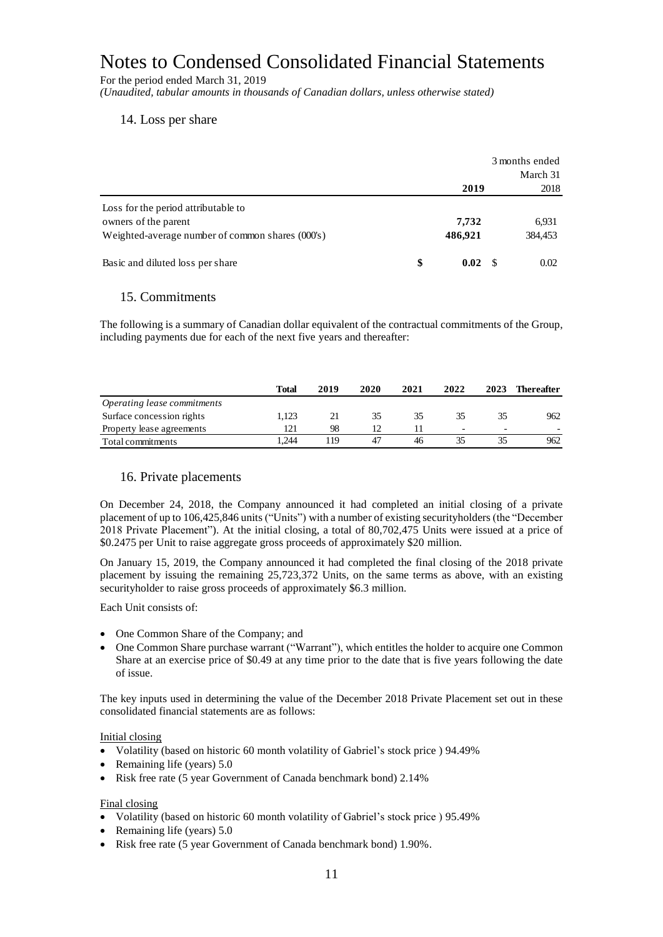For the period ended March 31, 2019 *(Unaudited, tabular amounts in thousands of Canadian dollars, unless otherwise stated)*

#### 14. Loss per share

|                                                                                                                 | 3 months ended |                  | March 31 |                  |
|-----------------------------------------------------------------------------------------------------------------|----------------|------------------|----------|------------------|
|                                                                                                                 |                | 2019             |          | 2018             |
| Loss for the period attributable to<br>owners of the parent<br>Weighted-average number of common shares (000's) |                | 7,732<br>486,921 |          | 6,931<br>384,453 |
| Basic and diluted loss per share                                                                                | \$             | 0.02             |          | 0.02             |

#### 15. Commitments

The following is a summary of Canadian dollar equivalent of the contractual commitments of the Group, including payments due for each of the next five years and thereafter:

|                             | Total | 2019 | 2020 | 2021 | 2022                     | 2023                     | <b>Thereafter</b> |
|-----------------------------|-------|------|------|------|--------------------------|--------------------------|-------------------|
| Operating lease commitments |       |      |      |      |                          |                          |                   |
| Surface concession rights   | 1.123 |      | 35   | 35   | 35                       |                          | 962               |
| Property lease agreements   | 121   | 98   |      |      | $\overline{\phantom{0}}$ | $\overline{\phantom{0}}$ |                   |
| Total commitments           | .244  | 119  | 47   | 46   |                          |                          | 962               |

#### 16. Private placements

On December 24, 2018, the Company announced it had completed an initial closing of a private placement of up to 106,425,846 units ("Units") with a number of existing securityholders (the "December 2018 Private Placement"). At the initial closing, a total of 80,702,475 Units were issued at a price of \$0.2475 per Unit to raise aggregate gross proceeds of approximately \$20 million.

On January 15, 2019, the Company announced it had completed the final closing of the 2018 private placement by issuing the remaining 25,723,372 Units, on the same terms as above, with an existing securityholder to raise gross proceeds of approximately \$6.3 million.

Each Unit consists of:

- One Common Share of the Company; and
- One Common Share purchase warrant ("Warrant"), which entitles the holder to acquire one Common Share at an exercise price of \$0.49 at any time prior to the date that is five years following the date of issue.

The key inputs used in determining the value of the December 2018 Private Placement set out in these consolidated financial statements are as follows:

#### Initial closing

- Volatility (based on historic 60 month volatility of Gabriel's stock price ) 94.49%
- Remaining life (years)  $5.0$
- Risk free rate (5 year Government of Canada benchmark bond) 2.14%

#### Final closing

- Volatility (based on historic 60 month volatility of Gabriel's stock price ) 95.49%
- Remaining life (years)  $5.0$
- Risk free rate (5 year Government of Canada benchmark bond) 1.90%.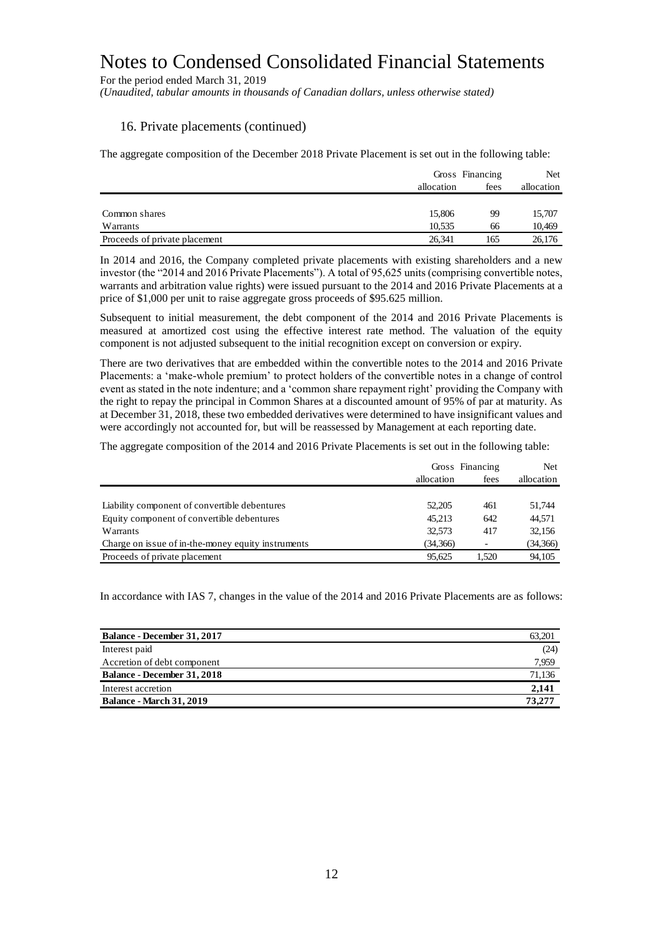For the period ended March 31, 2019

*(Unaudited, tabular amounts in thousands of Canadian dollars, unless otherwise stated)*

#### 16. Private placements (continued)

The aggregate composition of the December 2018 Private Placement is set out in the following table:

|                               |            | Gross Financing |            |
|-------------------------------|------------|-----------------|------------|
|                               | allocation | fees            | allocation |
|                               |            |                 |            |
| Common shares                 | 15,806     | 99              | 15,707     |
| Warrants                      | 10.535     | 66              | 10,469     |
| Proceeds of private placement | 26.341     | 165             | 26,176     |

In 2014 and 2016, the Company completed private placements with existing shareholders and a new investor (the "2014 and 2016 Private Placements"). A total of 95,625 units (comprising convertible notes, warrants and arbitration value rights) were issued pursuant to the 2014 and 2016 Private Placements at a price of \$1,000 per unit to raise aggregate gross proceeds of \$95.625 million.

Subsequent to initial measurement, the debt component of the 2014 and 2016 Private Placements is measured at amortized cost using the effective interest rate method. The valuation of the equity component is not adjusted subsequent to the initial recognition except on conversion or expiry.

There are two derivatives that are embedded within the convertible notes to the 2014 and 2016 Private Placements: a 'make-whole premium' to protect holders of the convertible notes in a change of control event as stated in the note indenture; and a 'common share repayment right' providing the Company with the right to repay the principal in Common Shares at a discounted amount of 95% of par at maturity. As at December 31, 2018, these two embedded derivatives were determined to have insignificant values and were accordingly not accounted for, but will be reassessed by Management at each reporting date.

The aggregate composition of the 2014 and 2016 Private Placements is set out in the following table:

|                                                    | Gross Financing | <b>Net</b> |          |  |
|----------------------------------------------------|-----------------|------------|----------|--|
|                                                    | allocation      | fees       |          |  |
|                                                    |                 |            |          |  |
| Liability component of convertible debentures      | 52,205          | 461        | 51.744   |  |
| Equity component of convertible debentures         | 45.213          | 642        | 44,571   |  |
| Warrants                                           | 32.573          | 417        | 32,156   |  |
| Charge on issue of in-the-money equity instruments | (34,366)        |            | (34,366) |  |
| Proceeds of private placement                      | 95.625          | 1.520      | 94,105   |  |

In accordance with IAS 7, changes in the value of the 2014 and 2016 Private Placements are as follows:

| <b>Balance - December 31, 2017</b> | 63,201 |
|------------------------------------|--------|
| Interest paid                      | (24)   |
| Accretion of debt component        | 7,959  |
| <b>Balance - December 31, 2018</b> | 71,136 |
| Interest accretion                 | 2,141  |
| <b>Balance - March 31, 2019</b>    | 73,277 |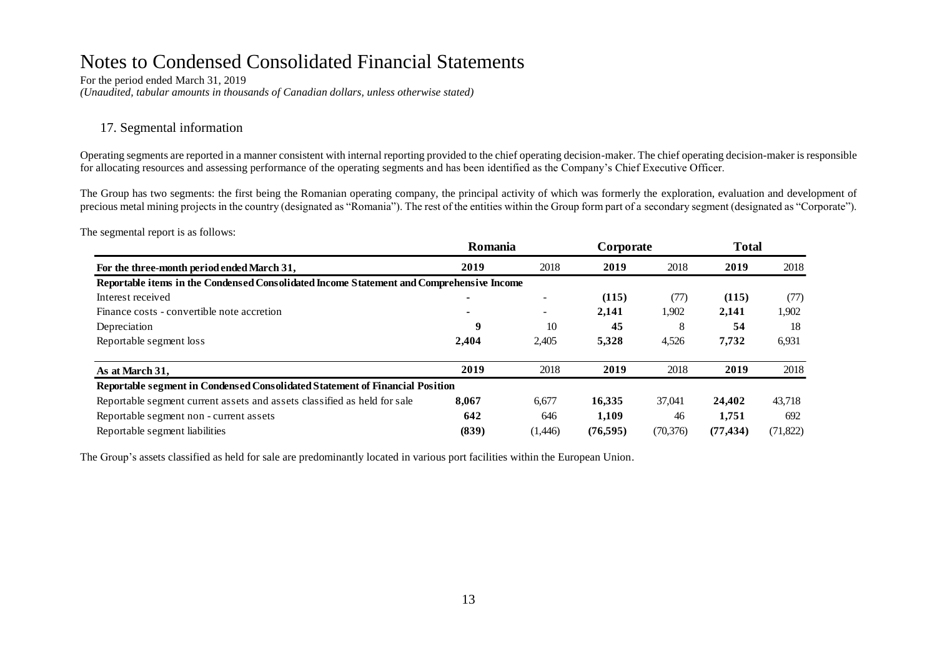For the period ended March 31, 2019 *(Unaudited, tabular amounts in thousands of Canadian dollars, unless otherwise stated)*

#### 17. Segmental information

Operating segments are reported in a manner consistent with internal reporting provided to the chief operating decision-maker. The chief operating decision-maker is responsible for allocating resources and assessing performance of the operating segments and has been identified as the Company's Chief Executive Officer.

The Group has two segments: the first being the Romanian operating company, the principal activity of which was formerly the exploration, evaluation and development of precious metal mining projects in the country (designated as "Romania"). The rest of the entities within the Group form part of a secondary segment (designated as "Corporate").

The segmental report is as follows:

| For the three-month period ended March 31,                                               | Romania |         | Corporate |           | <b>Total</b> |           |
|------------------------------------------------------------------------------------------|---------|---------|-----------|-----------|--------------|-----------|
|                                                                                          | 2019    | 2018    | 2019      | 2018      | 2019         | 2018      |
| Reportable items in the Condensed Consolidated Income Statement and Comprehensive Income |         |         |           |           |              |           |
| Interest received                                                                        |         |         | (115)     | (77)      | (115)        | (77)      |
| Finance costs - convertible note accretion                                               |         | Ξ.      | 2,141     | 1,902     | 2,141        | 1,902     |
| Depreciation                                                                             | 9       | 10      | 45        | 8         | 54           | 18        |
| Reportable segment loss                                                                  | 2,404   | 2,405   | 5,328     | 4,526     | 7,732        | 6,931     |
| As at March 31,                                                                          | 2019    | 2018    | 2019      | 2018      | 2019         | 2018      |
| Reportable segment in Condensed Consolidated Statement of Financial Position             |         |         |           |           |              |           |
| Reportable segment current assets and assets classified as held for sale                 | 8,067   | 6,677   | 16,335    | 37,041    | 24.402       | 43,718    |
| Reportable segment non - current assets                                                  | 642     | 646     | 1,109     | 46        | 1,751        | 692       |
| Reportable segment liabilities                                                           | (839)   | (1,446) | (76, 595) | (70, 376) | (77, 434)    | (71, 822) |

The Group's assets classified as held for sale are predominantly located in various port facilities within the European Union.